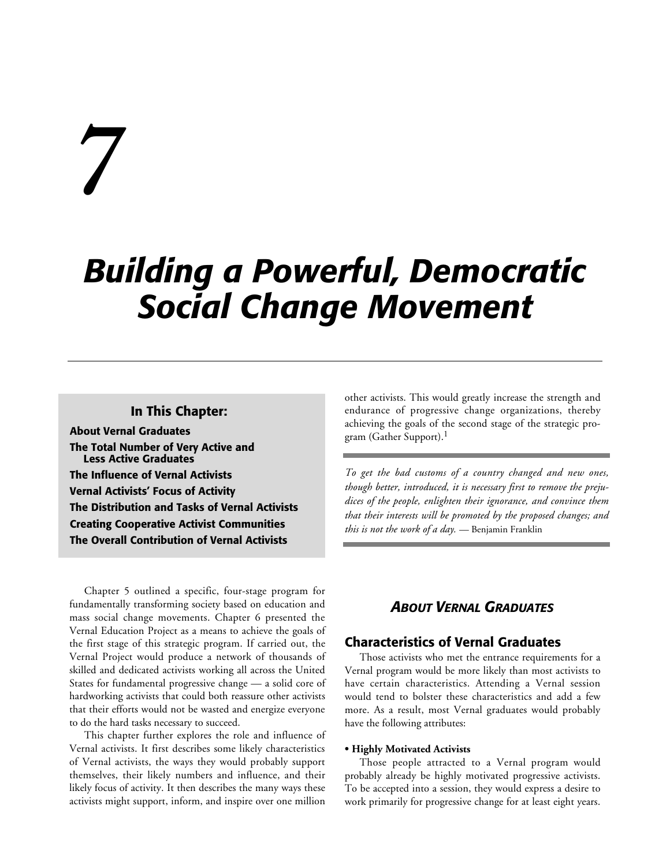# *7*

# *Building a Powerful, Democratic Social Change Movement*

## **In This Chapter:**

**About Vernal Graduates The Total Number of Very Active and Less Active Graduates The Influence of Vernal Activists Vernal Activists' Focus of Activity The Distribution and Tasks of Vernal Activists Creating Cooperative Activist Communities The Overall Contribution of Vernal Activists**

Chapter 5 outlined a specific, four-stage program for fundamentally transforming society based on education and mass social change movements. Chapter 6 presented the Vernal Education Project as a means to achieve the goals of the first stage of this strategic program. If carried out, the Vernal Project would produce a network of thousands of skilled and dedicated activists working all across the United States for fundamental progressive change — a solid core of hardworking activists that could both reassure other activists that their efforts would not be wasted and energize everyone to do the hard tasks necessary to succeed.

This chapter further explores the role and influence of Vernal activists. It first describes some likely characteristics of Vernal activists, the ways they would probably support themselves, their likely numbers and influence, and their likely focus of activity. It then describes the many ways these activists might support, inform, and inspire over one million

other activists. This would greatly increase the strength and endurance of progressive change organizations, thereby achieving the goals of the second stage of the strategic program (Gather Support).1

*To get the bad customs of a country changed and new ones, though better, introduced, it is necessary first to remove the prejudices of the people, enlighten their ignorance, and convince them that their interests will be promoted by the proposed changes; and this is not the work of a day.* — Benjamin Franklin

# *ABOUT VERNAL GRADUATES*

## **Characteristics of Vernal Graduates**

Those activists who met the entrance requirements for a Vernal program would be more likely than most activists to have certain characteristics. Attending a Vernal session would tend to bolster these characteristics and add a few more. As a result, most Vernal graduates would probably have the following attributes:

#### **• Highly Motivated Activists**

Those people attracted to a Vernal program would probably already be highly motivated progressive activists. To be accepted into a session, they would express a desire to work primarily for progressive change for at least eight years.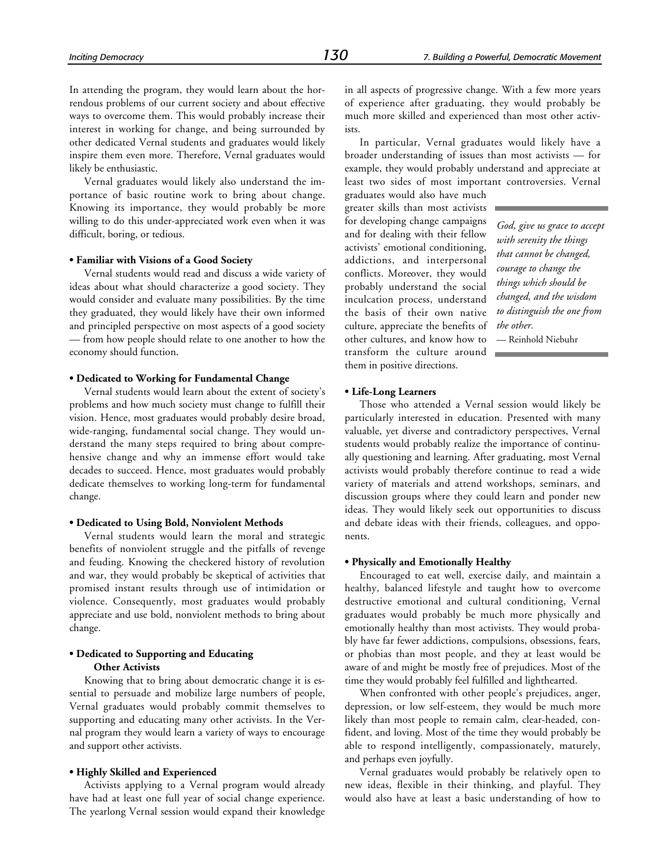In attending the program, they would learn about the horrendous problems of our current society and about effective ways to overcome them. This would probably increase their interest in working for change, and being surrounded by other dedicated Vernal students and graduates would likely inspire them even more. Therefore, Vernal graduates would likely be enthusiastic.

Vernal graduates would likely also understand the importance of basic routine work to bring about change. Knowing its importance, they would probably be more willing to do this under-appreciated work even when it was difficult, boring, or tedious.

#### **• Familiar with Visions of a Good Society**

Vernal students would read and discuss a wide variety of ideas about what should characterize a good society. They would consider and evaluate many possibilities. By the time they graduated, they would likely have their own informed and principled perspective on most aspects of a good society — from how people should relate to one another to how the economy should function.

#### **• Dedicated to Working for Fundamental Change**

Vernal students would learn about the extent of society's problems and how much society must change to fulfill their vision. Hence, most graduates would probably desire broad, wide-ranging, fundamental social change. They would understand the many steps required to bring about comprehensive change and why an immense effort would take decades to succeed. Hence, most graduates would probably dedicate themselves to working long-term for fundamental change.

#### **• Dedicated to Using Bold, Nonviolent Methods**

Vernal students would learn the moral and strategic benefits of nonviolent struggle and the pitfalls of revenge and feuding. Knowing the checkered history of revolution and war, they would probably be skeptical of activities that promised instant results through use of intimidation or violence. Consequently, most graduates would probably appreciate and use bold, nonviolent methods to bring about change.

#### **• Dedicated to Supporting and Educating Other Activists**

Knowing that to bring about democratic change it is essential to persuade and mobilize large numbers of people, Vernal graduates would probably commit themselves to supporting and educating many other activists. In the Vernal program they would learn a variety of ways to encourage and support other activists.

#### **• Highly Skilled and Experienced**

Activists applying to a Vernal program would already have had at least one full year of social change experience. The yearlong Vernal session would expand their knowledge

in all aspects of progressive change. With a few more years of experience after graduating, they would probably be much more skilled and experienced than most other activists.

In particular, Vernal graduates would likely have a broader understanding of issues than most activists — for example, they would probably understand and appreciate at least two sides of most important controversies. Vernal

graduates would also have much greater skills than most activists for developing change campaigns and for dealing with their fellow activists' emotional conditioning, addictions, and interpersonal conflicts. Moreover, they would probably understand the social inculcation process, understand the basis of their own native culture, appreciate the benefits of other cultures, and know how to transform the culture around them in positive directions.

*God, give us grace to accept with serenity the things that cannot be changed, courage to change the things which should be changed, and the wisdom to distinguish the one from the other.*

— Reinhold Niebuhr

#### **• Life-Long Learners**

Those who attended a Vernal session would likely be particularly interested in education. Presented with many valuable, yet diverse and contradictory perspectives, Vernal students would probably realize the importance of continually questioning and learning. After graduating, most Vernal activists would probably therefore continue to read a wide variety of materials and attend workshops, seminars, and discussion groups where they could learn and ponder new ideas. They would likely seek out opportunities to discuss and debate ideas with their friends, colleagues, and opponents.

#### **• Physically and Emotionally Healthy**

Encouraged to eat well, exercise daily, and maintain a healthy, balanced lifestyle and taught how to overcome destructive emotional and cultural conditioning, Vernal graduates would probably be much more physically and emotionally healthy than most activists. They would probably have far fewer addictions, compulsions, obsessions, fears, or phobias than most people, and they at least would be aware of and might be mostly free of prejudices. Most of the time they would probably feel fulfilled and lighthearted.

When confronted with other people's prejudices, anger, depression, or low self-esteem, they would be much more likely than most people to remain calm, clear-headed, confident, and loving. Most of the time they would probably be able to respond intelligently, compassionately, maturely, and perhaps even joyfully.

Vernal graduates would probably be relatively open to new ideas, flexible in their thinking, and playful. They would also have at least a basic understanding of how to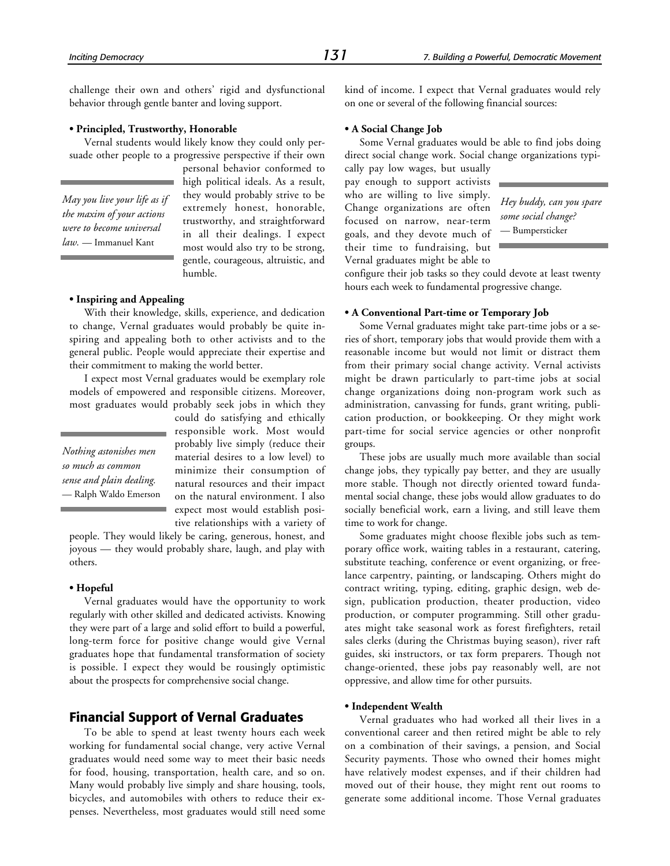challenge their own and others' rigid and dysfunctional behavior through gentle banter and loving support.

#### **• Principled, Trustworthy, Honorable**

Vernal students would likely know they could only persuade other people to a progressive perspective if their own

*May you live your life as if the maxim of your actions were to become universal law.* — Immanuel Kant

personal behavior conformed to high political ideals. As a result, they would probably strive to be extremely honest, honorable, trustworthy, and straightforward in all their dealings. I expect most would also try to be strong, gentle, courageous, altruistic, and humble.

#### **• Inspiring and Appealing**

With their knowledge, skills, experience, and dedication to change, Vernal graduates would probably be quite inspiring and appealing both to other activists and to the general public. People would appreciate their expertise and their commitment to making the world better.

I expect most Vernal graduates would be exemplary role models of empowered and responsible citizens. Moreover, most graduates would probably seek jobs in which they

*Nothing astonishes men so much as common sense and plain dealing.* — Ralph Waldo Emerson could do satisfying and ethically responsible work. Most would probably live simply (reduce their material desires to a low level) to minimize their consumption of natural resources and their impact on the natural environment. I also expect most would establish positive relationships with a variety of

people. They would likely be caring, generous, honest, and joyous — they would probably share, laugh, and play with others.

#### **• Hopeful**

Vernal graduates would have the opportunity to work regularly with other skilled and dedicated activists. Knowing they were part of a large and solid effort to build a powerful, long-term force for positive change would give Vernal graduates hope that fundamental transformation of society is possible. I expect they would be rousingly optimistic about the prospects for comprehensive social change.

#### **Financial Support of Vernal Graduates**

To be able to spend at least twenty hours each week working for fundamental social change, very active Vernal graduates would need some way to meet their basic needs for food, housing, transportation, health care, and so on. Many would probably live simply and share housing, tools, bicycles, and automobiles with others to reduce their expenses. Nevertheless, most graduates would still need some

kind of income. I expect that Vernal graduates would rely on one or several of the following financial sources:

#### **• A Social Change Job**

Some Vernal graduates would be able to find jobs doing direct social change work. Social change organizations typi-

cally pay low wages, but usually pay enough to support activists who are willing to live simply. Change organizations are often focused on narrow, near-term goals, and they devote much of their time to fundraising, but Vernal graduates might be able to

*Hey buddy, can you spare some social change?* — Bumpersticker

configure their job tasks so they could devote at least twenty hours each week to fundamental progressive change.

#### **• A Conventional Part-time or Temporary Job**

Some Vernal graduates might take part-time jobs or a series of short, temporary jobs that would provide them with a reasonable income but would not limit or distract them from their primary social change activity. Vernal activists might be drawn particularly to part-time jobs at social change organizations doing non-program work such as administration, canvassing for funds, grant writing, publication production, or bookkeeping. Or they might work part-time for social service agencies or other nonprofit groups.

These jobs are usually much more available than social change jobs, they typically pay better, and they are usually more stable. Though not directly oriented toward fundamental social change, these jobs would allow graduates to do socially beneficial work, earn a living, and still leave them time to work for change.

Some graduates might choose flexible jobs such as temporary office work, waiting tables in a restaurant, catering, substitute teaching, conference or event organizing, or freelance carpentry, painting, or landscaping. Others might do contract writing, typing, editing, graphic design, web design, publication production, theater production, video production, or computer programming. Still other graduates might take seasonal work as forest firefighters, retail sales clerks (during the Christmas buying season), river raft guides, ski instructors, or tax form preparers. Though not change-oriented, these jobs pay reasonably well, are not oppressive, and allow time for other pursuits.

#### **• Independent Wealth**

Vernal graduates who had worked all their lives in a conventional career and then retired might be able to rely on a combination of their savings, a pension, and Social Security payments. Those who owned their homes might have relatively modest expenses, and if their children had moved out of their house, they might rent out rooms to generate some additional income. Those Vernal graduates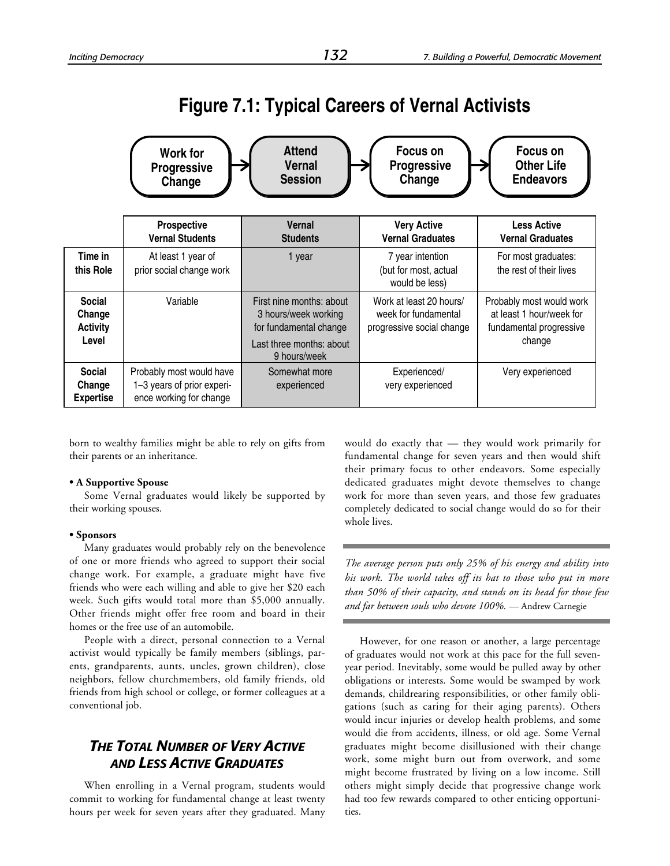# **Figure 7.1: Typical Careers of Vernal Activists**

|                                                     | <b>Work for</b><br><b>Progressive</b><br>Change                                   | <b>Attend</b><br><b>Vernal</b><br><b>Session</b>                                                                       | Focus on<br><b>Progressive</b><br>Change                                     | <b>Focus on</b><br><b>Other Life</b><br><b>Endeavors</b>                                  |  |
|-----------------------------------------------------|-----------------------------------------------------------------------------------|------------------------------------------------------------------------------------------------------------------------|------------------------------------------------------------------------------|-------------------------------------------------------------------------------------------|--|
|                                                     | <b>Prospective</b><br><b>Vernal Students</b>                                      | Vernal<br><b>Students</b>                                                                                              | <b>Very Active</b><br><b>Vernal Graduates</b>                                | <b>Less Active</b><br><b>Vernal Graduates</b>                                             |  |
| Time in<br>this Role                                | At least 1 year of<br>prior social change work                                    | 1 year                                                                                                                 | 7 year intention<br>(but for most, actual<br>would be less)                  | For most graduates:<br>the rest of their lives                                            |  |
| <b>Social</b><br>Change<br><b>Activity</b><br>Level | Variable                                                                          | First nine months: about<br>3 hours/week working<br>for fundamental change<br>Last three months: about<br>9 hours/week | Work at least 20 hours/<br>week for fundamental<br>progressive social change | Probably most would work<br>at least 1 hour/week for<br>fundamental progressive<br>change |  |
| Social<br>Change<br><b>Expertise</b>                | Probably most would have<br>1-3 years of prior experi-<br>ence working for change | Somewhat more<br>experienced                                                                                           | Experienced/<br>very experienced                                             | Very experienced                                                                          |  |

born to wealthy families might be able to rely on gifts from their parents or an inheritance.

#### **• A Supportive Spouse**

Some Vernal graduates would likely be supported by their working spouses.

#### **• Sponsors**

Many graduates would probably rely on the benevolence of one or more friends who agreed to support their social change work. For example, a graduate might have five friends who were each willing and able to give her \$20 each week. Such gifts would total more than \$5,000 annually. Other friends might offer free room and board in their homes or the free use of an automobile.

People with a direct, personal connection to a Vernal activist would typically be family members (siblings, parents, grandparents, aunts, uncles, grown children), close neighbors, fellow churchmembers, old family friends, old friends from high school or college, or former colleagues at a conventional job.

# *THE TOTAL NUMBER OF VERY ACTIVE AND LESS ACTIVE GRADUATES*

When enrolling in a Vernal program, students would commit to working for fundamental change at least twenty hours per week for seven years after they graduated. Many would do exactly that — they would work primarily for fundamental change for seven years and then would shift their primary focus to other endeavors. Some especially dedicated graduates might devote themselves to change work for more than seven years, and those few graduates completely dedicated to social change would do so for their whole lives.

*The average person puts only 25% of his energy and ability into his work. The world takes off its hat to those who put in more than 50% of their capacity, and stands on its head for those few and far between souls who devote 100%.* — Andrew Carnegie

However, for one reason or another, a large percentage of graduates would not work at this pace for the full sevenyear period. Inevitably, some would be pulled away by other obligations or interests. Some would be swamped by work demands, childrearing responsibilities, or other family obligations (such as caring for their aging parents). Others would incur injuries or develop health problems, and some would die from accidents, illness, or old age. Some Vernal graduates might become disillusioned with their change work, some might burn out from overwork, and some might become frustrated by living on a low income. Still others might simply decide that progressive change work had too few rewards compared to other enticing opportunities.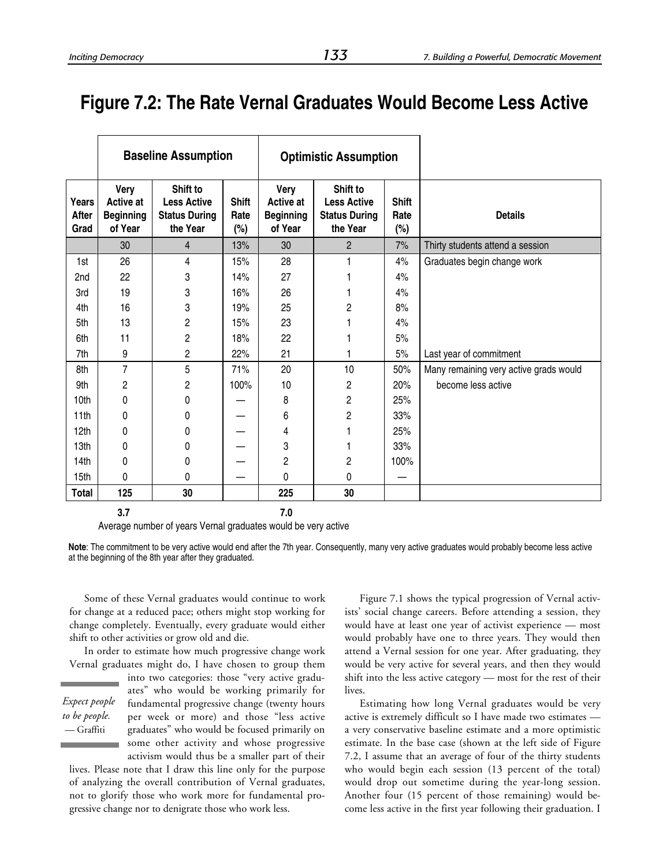# **Figure 7.2: The Rate Vernal Graduates Would Become Less Active**

|                        |                                                         | <b>Baseline Assumption</b>                                         |                                | <b>Optimistic Assumption</b>                     |                                                                    |                             |                                        |
|------------------------|---------------------------------------------------------|--------------------------------------------------------------------|--------------------------------|--------------------------------------------------|--------------------------------------------------------------------|-----------------------------|----------------------------------------|
| Years<br>After<br>Grad | Very<br><b>Active at</b><br><b>Beginning</b><br>of Year | Shift to<br><b>Less Active</b><br><b>Status During</b><br>the Year | <b>Shift</b><br>Rate<br>$(\%)$ | Very<br>Active at<br><b>Beginning</b><br>of Year | Shift to<br><b>Less Active</b><br><b>Status During</b><br>the Year | <b>Shift</b><br>Rate<br>(%) | <b>Details</b>                         |
|                        | 30                                                      | $\overline{4}$                                                     | 13%                            | 30                                               | $\overline{2}$                                                     | 7%                          | Thirty students attend a session       |
| 1st                    | 26                                                      | 4                                                                  | 15%                            | 28                                               |                                                                    | 4%                          | Graduates begin change work            |
| 2nd                    | 22                                                      | 3                                                                  | 14%                            | 27                                               |                                                                    | 4%                          |                                        |
| 3rd                    | 19                                                      | 3                                                                  | 16%                            | 26                                               |                                                                    | 4%                          |                                        |
| 4th                    | 16                                                      | 3                                                                  | 19%                            | 25                                               | 2                                                                  | 8%                          |                                        |
| 5th                    | 13                                                      | 2                                                                  | 15%                            | 23                                               |                                                                    | 4%                          |                                        |
| 6th                    | 11                                                      | $\overline{c}$                                                     | 18%                            | 22                                               |                                                                    | 5%                          |                                        |
| 7th                    | 9                                                       | $\overline{c}$                                                     | 22%                            | 21                                               |                                                                    | 5%                          | Last year of commitment                |
| 8th                    | 7                                                       | 5                                                                  | 71%                            | 20                                               | 10                                                                 | 50%                         | Many remaining very active grads would |
| 9th                    | $\overline{c}$                                          | 2                                                                  | 100%                           | 10                                               | $\overline{c}$                                                     | 20%                         | become less active                     |
| 10th                   | 0                                                       | 0                                                                  |                                | 8                                                | $\overline{c}$                                                     | 25%                         |                                        |
| 11th                   | 0                                                       | 0                                                                  |                                | 6                                                | 2                                                                  | 33%                         |                                        |
| 12th                   | 0                                                       | 0                                                                  |                                | 4                                                |                                                                    | 25%                         |                                        |
| 13th                   | 0                                                       | 0                                                                  |                                | 3                                                |                                                                    | 33%                         |                                        |
| 14th                   | 0                                                       | 0                                                                  |                                | 2                                                | $\overline{c}$                                                     | 100%                        |                                        |
| 15th                   | $\mathbf{0}$                                            | 0                                                                  |                                | 0                                                | 0                                                                  |                             |                                        |
| Total                  | 125                                                     | 30                                                                 |                                | 225                                              | 30                                                                 |                             |                                        |
|                        | 3.7                                                     |                                                                    |                                | 7.0                                              |                                                                    |                             |                                        |

Average number of years Vernal graduates would be very active

Some of these Vernal graduates would continue to work for change at a reduced pace; others might stop working for change completely. Eventually, every graduate would either shift to other activities or grow old and die.

In order to estimate how much progressive change work Vernal graduates might do, I have chosen to group them

*Expect people to be people.* — Graffiti

into two categories: those "very active graduates" who would be working primarily for fundamental progressive change (twenty hours per week or more) and those "less active graduates" who would be focused primarily on some other activity and whose progressive activism would thus be a smaller part of their

lives. Please note that I draw this line only for the purpose of analyzing the overall contribution of Vernal graduates, not to glorify those who work more for fundamental progressive change nor to denigrate those who work less.

Figure 7.1 shows the typical progression of Vernal activists' social change careers. Before attending a session, they would have at least one year of activist experience — most would probably have one to three years. They would then attend a Vernal session for one year. After graduating, they would be very active for several years, and then they would shift into the less active category — most for the rest of their lives.

Estimating how long Vernal graduates would be very active is extremely difficult so I have made two estimates a very conservative baseline estimate and a more optimistic estimate. In the base case (shown at the left side of Figure 7.2, I assume that an average of four of the thirty students who would begin each session (13 percent of the total) would drop out sometime during the year-long session. Another four (15 percent of those remaining) would become less active in the first year following their graduation. I

**Note**: The commitment to be very active would end after the 7th year. Consequently, many very active graduates would probably become less active at the beginning of the 8th year after they graduated.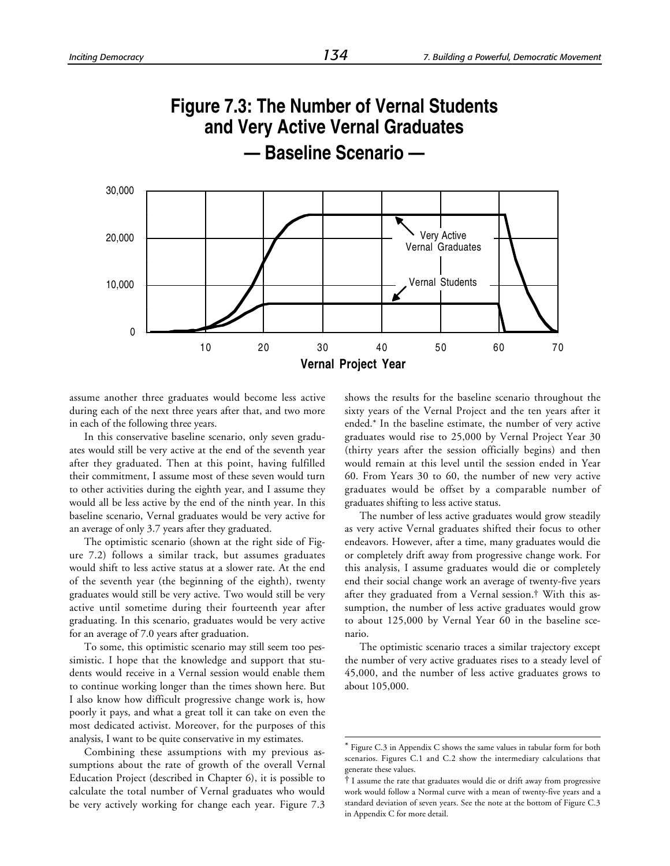

 $\overline{a}$ 

assume another three graduates would become less active during each of the next three years after that, and two more in each of the following three years.

In this conservative baseline scenario, only seven graduates would still be very active at the end of the seventh year after they graduated. Then at this point, having fulfilled their commitment, I assume most of these seven would turn to other activities during the eighth year, and I assume they would all be less active by the end of the ninth year. In this baseline scenario, Vernal graduates would be very active for an average of only 3.7 years after they graduated.

The optimistic scenario (shown at the right side of Figure 7.2) follows a similar track, but assumes graduates would shift to less active status at a slower rate. At the end of the seventh year (the beginning of the eighth), twenty graduates would still be very active. Two would still be very active until sometime during their fourteenth year after graduating. In this scenario, graduates would be very active for an average of 7.0 years after graduation.

To some, this optimistic scenario may still seem too pessimistic. I hope that the knowledge and support that students would receive in a Vernal session would enable them to continue working longer than the times shown here. But I also know how difficult progressive change work is, how poorly it pays, and what a great toll it can take on even the most dedicated activist. Moreover, for the purposes of this analysis, I want to be quite conservative in my estimates.

Combining these assumptions with my previous assumptions about the rate of growth of the overall Vernal Education Project (described in Chapter 6), it is possible to calculate the total number of Vernal graduates who would be very actively working for change each year. Figure 7.3 shows the results for the baseline scenario throughout the sixty years of the Vernal Project and the ten years after it ended.\* In the baseline estimate, the number of very active graduates would rise to 25,000 by Vernal Project Year 30 (thirty years after the session officially begins) and then would remain at this level until the session ended in Year 60. From Years 30 to 60, the number of new very active graduates would be offset by a comparable number of graduates shifting to less active status.

The number of less active graduates would grow steadily as very active Vernal graduates shifted their focus to other endeavors. However, after a time, many graduates would die or completely drift away from progressive change work. For this analysis, I assume graduates would die or completely end their social change work an average of twenty-five years after they graduated from a Vernal session.† With this assumption, the number of less active graduates would grow to about 125,000 by Vernal Year 60 in the baseline scenario.

The optimistic scenario traces a similar trajectory except the number of very active graduates rises to a steady level of 45,000, and the number of less active graduates grows to about 105,000.

<sup>\*</sup> Figure C.3 in Appendix C shows the same values in tabular form for both scenarios. Figures C.1 and C.2 show the intermediary calculations that generate these values.

<sup>†</sup> I assume the rate that graduates would die or drift away from progressive work would follow a Normal curve with a mean of twenty-five years and a standard deviation of seven years. See the note at the bottom of Figure C.3 in Appendix C for more detail.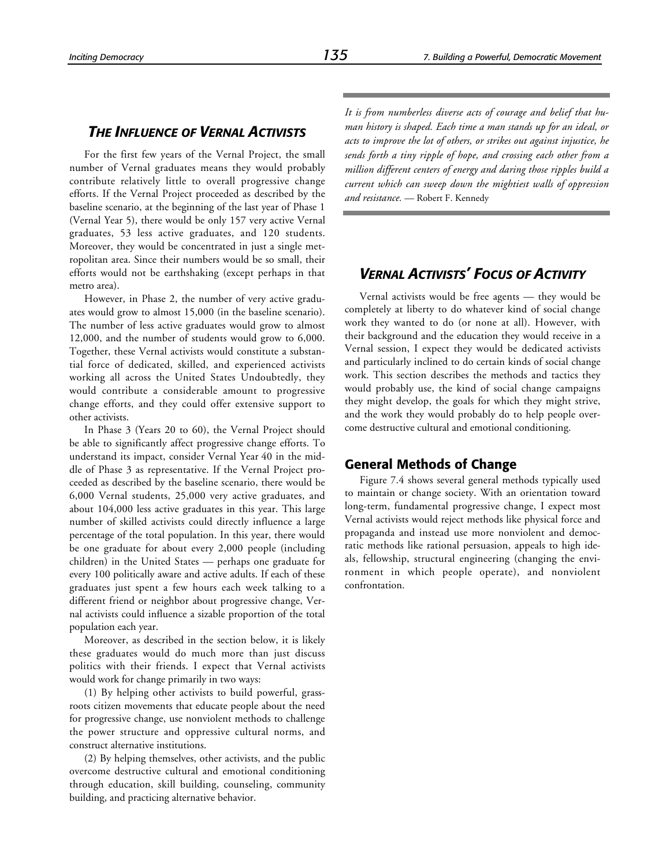# *THE INFLUENCE OF VERNAL ACTIVISTS*

For the first few years of the Vernal Project, the small number of Vernal graduates means they would probably contribute relatively little to overall progressive change efforts. If the Vernal Project proceeded as described by the baseline scenario, at the beginning of the last year of Phase 1 (Vernal Year 5), there would be only 157 very active Vernal graduates, 53 less active graduates, and 120 students. Moreover, they would be concentrated in just a single metropolitan area. Since their numbers would be so small, their efforts would not be earthshaking (except perhaps in that metro area).

However, in Phase 2, the number of very active graduates would grow to almost 15,000 (in the baseline scenario). The number of less active graduates would grow to almost 12,000, and the number of students would grow to 6,000. Together, these Vernal activists would constitute a substantial force of dedicated, skilled, and experienced activists working all across the United States Undoubtedly, they would contribute a considerable amount to progressive change efforts, and they could offer extensive support to other activists.

In Phase 3 (Years 20 to 60), the Vernal Project should be able to significantly affect progressive change efforts. To understand its impact, consider Vernal Year 40 in the middle of Phase 3 as representative. If the Vernal Project proceeded as described by the baseline scenario, there would be 6,000 Vernal students, 25,000 very active graduates, and about 104,000 less active graduates in this year. This large number of skilled activists could directly influence a large percentage of the total population. In this year, there would be one graduate for about every 2,000 people (including children) in the United States — perhaps one graduate for every 100 politically aware and active adults. If each of these graduates just spent a few hours each week talking to a different friend or neighbor about progressive change, Vernal activists could influence a sizable proportion of the total population each year.

Moreover, as described in the section below, it is likely these graduates would do much more than just discuss politics with their friends. I expect that Vernal activists would work for change primarily in two ways:

(1) By helping other activists to build powerful, grassroots citizen movements that educate people about the need for progressive change, use nonviolent methods to challenge the power structure and oppressive cultural norms, and construct alternative institutions.

(2) By helping themselves, other activists, and the public overcome destructive cultural and emotional conditioning through education, skill building, counseling, community building, and practicing alternative behavior.

*It is from numberless diverse acts of courage and belief that human history is shaped. Each time a man stands up for an ideal, or acts to improve the lot of others, or strikes out against injustice, he sends forth a tiny ripple of hope, and crossing each other from a million different centers of energy and daring those ripples build a current which can sweep down the mightiest walls of oppression and resistance.* — Robert F. Kennedy

# *VERNAL ACTIVISTS' FOCUS OF ACTIVITY*

Vernal activists would be free agents — they would be completely at liberty to do whatever kind of social change work they wanted to do (or none at all). However, with their background and the education they would receive in a Vernal session, I expect they would be dedicated activists and particularly inclined to do certain kinds of social change work. This section describes the methods and tactics they would probably use, the kind of social change campaigns they might develop, the goals for which they might strive, and the work they would probably do to help people overcome destructive cultural and emotional conditioning.

#### **General Methods of Change**

Figure 7.4 shows several general methods typically used to maintain or change society. With an orientation toward long-term, fundamental progressive change, I expect most Vernal activists would reject methods like physical force and propaganda and instead use more nonviolent and democratic methods like rational persuasion, appeals to high ideals, fellowship, structural engineering (changing the environment in which people operate), and nonviolent confrontation.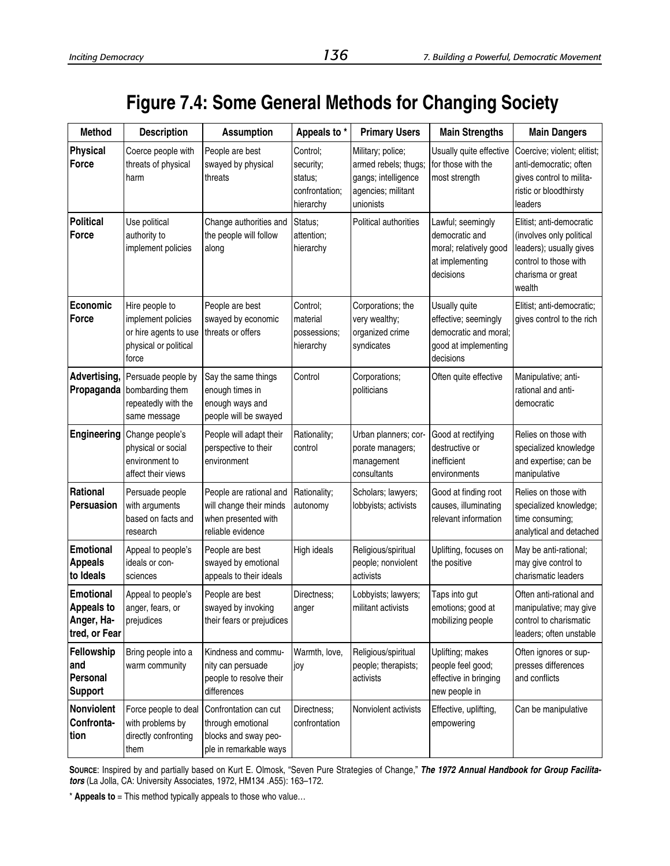# **Figure 7.4: Some General Methods for Changing Society**

| <b>Method</b>                                                        | <b>Description</b>                                                                              | <b>Assumption</b>                                                                              | Appeals to *                                                    | <b>Primary Users</b>                                                                                | <b>Main Strengths</b>                                                                               | <b>Main Dangers</b>                                                                                                                     |
|----------------------------------------------------------------------|-------------------------------------------------------------------------------------------------|------------------------------------------------------------------------------------------------|-----------------------------------------------------------------|-----------------------------------------------------------------------------------------------------|-----------------------------------------------------------------------------------------------------|-----------------------------------------------------------------------------------------------------------------------------------------|
| <b>Physical</b><br><b>Force</b>                                      | Coerce people with<br>threats of physical<br>harm                                               | People are best<br>swayed by physical<br>threats                                               | Control;<br>security;<br>status;<br>confrontation;<br>hierarchy | Military; police;<br>armed rebels; thugs;<br>gangs; intelligence<br>agencies; militant<br>unionists | Usually quite effective<br>for those with the<br>most strength                                      | Coercive; violent; elitist;<br>anti-democratic; often<br>gives control to milita-<br>ristic or bloodthirsty<br>leaders                  |
| <b>Political</b><br>Force                                            | Use political<br>authority to<br>implement policies                                             | Change authorities and<br>the people will follow<br>along                                      | Status;<br>attention;<br>hierarchy                              | Political authorities                                                                               | Lawful; seemingly<br>democratic and<br>moral; relatively good<br>at implementing<br>decisions       | Elitist; anti-democratic<br>(involves only political<br>leaders); usually gives<br>control to those with<br>charisma or great<br>wealth |
| Economic<br>Force                                                    | Hire people to<br>implement policies<br>or hire agents to use<br>physical or political<br>force | People are best<br>swayed by economic<br>threats or offers                                     | Control;<br>material<br>possessions;<br>hierarchy               | Corporations; the<br>very wealthy;<br>organized crime<br>syndicates                                 | Usually quite<br>effective; seemingly<br>democratic and moral;<br>good at implementing<br>decisions | Elitist; anti-democratic;<br>gives control to the rich                                                                                  |
| Advertising,<br>Propaganda                                           | Persuade people by<br>bombarding them<br>repeatedly with the<br>same message                    | Say the same things<br>enough times in<br>enough ways and<br>people will be swayed             | Control                                                         | Corporations;<br>politicians                                                                        | Often quite effective                                                                               | Manipulative; anti-<br>rational and anti-<br>democratic                                                                                 |
| Engineering                                                          | Change people's<br>physical or social<br>environment to<br>affect their views                   | People will adapt their<br>perspective to their<br>environment                                 | Rationality;<br>control                                         | Urban planners; cor-<br>porate managers;<br>management<br>consultants                               | Good at rectifying<br>destructive or<br>inefficient<br>environments                                 | Relies on those with<br>specialized knowledge<br>and expertise; can be<br>manipulative                                                  |
| Rational<br>Persuasion                                               | Persuade people<br>with arguments<br>based on facts and<br>research                             | People are rational and<br>will change their minds<br>when presented with<br>reliable evidence | Rationality;<br>autonomy                                        | Scholars; lawyers;<br>lobbyists; activists                                                          | Good at finding root<br>causes, illuminating<br>relevant information                                | Relies on those with<br>specialized knowledge;<br>time consuming;<br>analytical and detached                                            |
| <b>Emotional</b><br><b>Appeals</b><br>to Ideals                      | Appeal to people's<br>ideals or con-<br>sciences                                                | People are best<br>swayed by emotional<br>appeals to their ideals                              | High ideals                                                     | Religious/spiritual<br>people; nonviolent<br>activists                                              | Uplifting, focuses on<br>the positive                                                               | May be anti-rational;<br>may give control to<br>charismatic leaders                                                                     |
| <b>Emotional</b><br><b>Appeals to</b><br>Anger, Ha-<br>tred, or Fear | Appeal to people's<br>anger, fears, or<br>prejudices                                            | People are best<br>swayed by invoking<br>their fears or prejudices                             | Directness;<br>anger                                            | Lobbyists; lawyers;<br>militant activists                                                           | Taps into gut<br>emotions; good at<br>mobilizing people                                             | Often anti-rational and<br>manipulative; may give<br>control to charismatic<br>leaders; often unstable                                  |
| Fellowship<br>and<br>Personal<br><b>Support</b>                      | Bring people into a<br>warm community                                                           | Kindness and commu-<br>nity can persuade<br>people to resolve their<br>differences             | Warmth, love,<br>joy                                            | Religious/spiritual<br>people; therapists;<br>activists                                             | Uplifting; makes<br>people feel good;<br>effective in bringing<br>new people in                     | Often ignores or sup-<br>presses differences<br>and conflicts                                                                           |
| Nonviolent<br>Confronta-<br>tion                                     | Force people to deal<br>with problems by<br>directly confronting<br>them                        | Confrontation can cut<br>through emotional<br>blocks and sway peo-<br>ple in remarkable ways   | Directness;<br>confrontation                                    | Nonviolent activists                                                                                | Effective, uplifting,<br>empowering                                                                 | Can be manipulative                                                                                                                     |

**SOURCE**: Inspired by and partially based on Kurt E. Olmosk, "Seven Pure Strategies of Change," *The 1972 Annual Handbook for Group Facilitators* (La Jolla, CA: University Associates, 1972, HM134 .A55): 163–172.

\* **Appeals to** = This method typically appeals to those who value...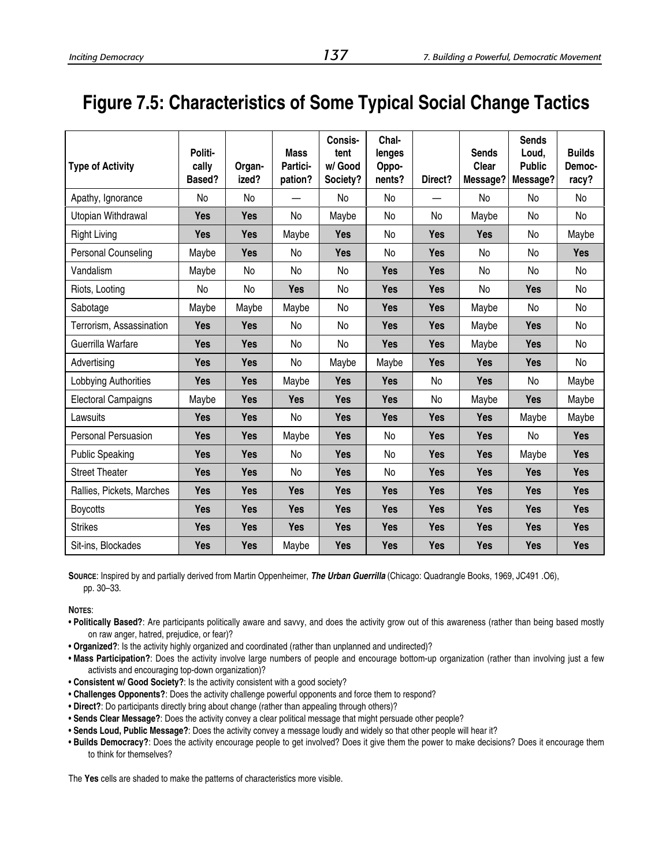# **Figure 7.5: Characteristics of Some Typical Social Change Tactics**

| <b>Type of Activity</b>    | Politi-<br>cally<br>Based? | Organ-<br>ized? | <b>Mass</b><br>Partici-<br>pation? | Consis-<br>tent<br>w/ Good<br>Society? | Chal-<br>lenges<br>Oppo-<br>nents? | Direct?    | <b>Sends</b><br>Clear<br>Message? | <b>Sends</b><br>Loud,<br><b>Public</b><br>Message? | <b>Builds</b><br>Democ-<br>racy? |
|----------------------------|----------------------------|-----------------|------------------------------------|----------------------------------------|------------------------------------|------------|-----------------------------------|----------------------------------------------------|----------------------------------|
| Apathy, Ignorance          | No                         | No              |                                    | No                                     | No                                 |            | No                                | No                                                 | No                               |
| Utopian Withdrawal         | <b>Yes</b>                 | <b>Yes</b>      | No                                 | Maybe                                  | No                                 | No         | Maybe                             | No                                                 | No                               |
| <b>Right Living</b>        | <b>Yes</b>                 | <b>Yes</b>      | Maybe                              | <b>Yes</b>                             | No                                 | <b>Yes</b> | <b>Yes</b>                        | No                                                 | Maybe                            |
| <b>Personal Counseling</b> | Maybe                      | <b>Yes</b>      | No                                 | <b>Yes</b>                             | No                                 | <b>Yes</b> | <b>No</b>                         | <b>No</b>                                          | <b>Yes</b>                       |
| Vandalism                  | Maybe                      | No              | No                                 | No                                     | <b>Yes</b>                         | <b>Yes</b> | No                                | No                                                 | No                               |
| Riots, Looting             | No                         | No              | <b>Yes</b>                         | No                                     | <b>Yes</b>                         | <b>Yes</b> | No                                | <b>Yes</b>                                         | No                               |
| Sabotage                   | Maybe                      | Maybe           | Maybe                              | No                                     | <b>Yes</b>                         | <b>Yes</b> | Maybe                             | No                                                 | No                               |
| Terrorism, Assassination   | <b>Yes</b>                 | <b>Yes</b>      | No                                 | <b>No</b>                              | <b>Yes</b>                         | <b>Yes</b> | Maybe                             | <b>Yes</b>                                         | No                               |
| Guerrilla Warfare          | <b>Yes</b>                 | <b>Yes</b>      | No                                 | No                                     | <b>Yes</b>                         | <b>Yes</b> | Maybe                             | <b>Yes</b>                                         | No                               |
| Advertising                | <b>Yes</b>                 | <b>Yes</b>      | No                                 | Maybe                                  | Maybe                              | <b>Yes</b> | Yes                               | <b>Yes</b>                                         | No                               |
| Lobbying Authorities       | <b>Yes</b>                 | <b>Yes</b>      | Maybe                              | <b>Yes</b>                             | <b>Yes</b>                         | No         | <b>Yes</b>                        | No                                                 | Maybe                            |
| <b>Electoral Campaigns</b> | Maybe                      | <b>Yes</b>      | <b>Yes</b>                         | <b>Yes</b>                             | <b>Yes</b>                         | No         | Maybe                             | <b>Yes</b>                                         | Maybe                            |
| Lawsuits                   | <b>Yes</b>                 | <b>Yes</b>      | No                                 | <b>Yes</b>                             | <b>Yes</b>                         | <b>Yes</b> | <b>Yes</b>                        | Maybe                                              | Maybe                            |
| <b>Personal Persuasion</b> | <b>Yes</b>                 | <b>Yes</b>      | Maybe                              | <b>Yes</b>                             | No                                 | <b>Yes</b> | Yes                               | No                                                 | <b>Yes</b>                       |
| <b>Public Speaking</b>     | <b>Yes</b>                 | <b>Yes</b>      | No                                 | <b>Yes</b>                             | No                                 | <b>Yes</b> | <b>Yes</b>                        | Maybe                                              | <b>Yes</b>                       |
| <b>Street Theater</b>      | <b>Yes</b>                 | <b>Yes</b>      | No                                 | <b>Yes</b>                             | No                                 | <b>Yes</b> | <b>Yes</b>                        | <b>Yes</b>                                         | <b>Yes</b>                       |
| Rallies, Pickets, Marches  | <b>Yes</b>                 | <b>Yes</b>      | <b>Yes</b>                         | <b>Yes</b>                             | <b>Yes</b>                         | <b>Yes</b> | <b>Yes</b>                        | <b>Yes</b>                                         | <b>Yes</b>                       |
| <b>Boycotts</b>            | <b>Yes</b>                 | <b>Yes</b>      | <b>Yes</b>                         | <b>Yes</b>                             | <b>Yes</b>                         | <b>Yes</b> | Yes                               | <b>Yes</b>                                         | <b>Yes</b>                       |
| <b>Strikes</b>             | <b>Yes</b>                 | <b>Yes</b>      | <b>Yes</b>                         | <b>Yes</b>                             | <b>Yes</b>                         | <b>Yes</b> | <b>Yes</b>                        | <b>Yes</b>                                         | <b>Yes</b>                       |
| Sit-ins, Blockades         | <b>Yes</b>                 | <b>Yes</b>      | Maybe                              | <b>Yes</b>                             | <b>Yes</b>                         | <b>Yes</b> | <b>Yes</b>                        | <b>Yes</b>                                         | <b>Yes</b>                       |

**SOURCE**: Inspired by and partially derived from Martin Oppenheimer, *The Urban Guerrilla* (Chicago: Quadrangle Books, 1969, JC491 .O6), pp. 30–33.

**NOTES**:

- **Politically Based?**: Are participants politically aware and savvy, and does the activity grow out of this awareness (rather than being based mostly on raw anger, hatred, prejudice, or fear)?
- **Organized?**: Is the activity highly organized and coordinated (rather than unplanned and undirected)?
- **Mass Participation?**: Does the activity involve large numbers of people and encourage bottom-up organization (rather than involving just a few activists and encouraging top-down organization)?
- **Consistent w/ Good Society?**: Is the activity consistent with a good society?
- **Challenges Opponents?**: Does the activity challenge powerful opponents and force them to respond?
- **Direct?**: Do participants directly bring about change (rather than appealing through others)?
- **Sends Clear Message?**: Does the activity convey a clear political message that might persuade other people?
- **Sends Loud, Public Message?**: Does the activity convey a message loudly and widely so that other people will hear it?
- **Builds Democracy?**: Does the activity encourage people to get involved? Does it give them the power to make decisions? Does it encourage them to think for themselves?

The **Yes** cells are shaded to make the patterns of characteristics more visible.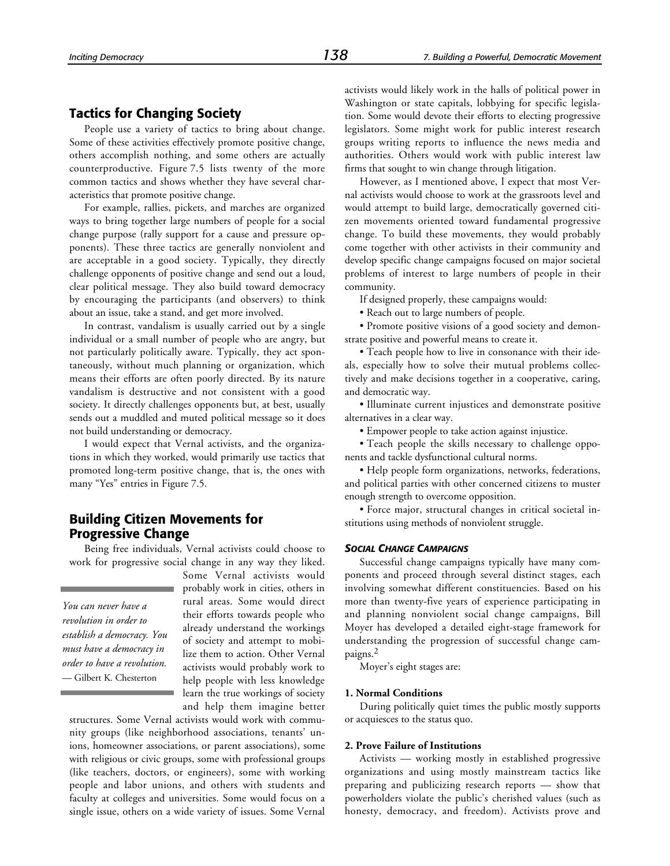# **Tactics for Changing Society**

People use a variety of tactics to bring about change. Some of these activities effectively promote positive change, others accomplish nothing, and some others are actually counterproductive. Figure 7.5 lists twenty of the more common tactics and shows whether they have several characteristics that promote positive change.

For example, rallies, pickets, and marches are organized ways to bring together large numbers of people for a social change purpose (rally support for a cause and pressure opponents). These three tactics are generally nonviolent and are acceptable in a good society. Typically, they directly challenge opponents of positive change and send out a loud, clear political message. They also build toward democracy by encouraging the participants (and observers) to think about an issue, take a stand, and get more involved.

In contrast, vandalism is usually carried out by a single individual or a small number of people who are angry, but not particularly politically aware. Typically, they act spontaneously, without much planning or organization, which means their efforts are often poorly directed. By its nature vandalism is destructive and not consistent with a good society. It directly challenges opponents but, at best, usually sends out a muddled and muted political message so it does not build understanding or democracy.

I would expect that Vernal activists, and the organizations in which they worked, would primarily use tactics that promoted long-term positive change, that is, the ones with many "Yes" entries in Figure 7.5.

# **Building Citizen Movements for Progressive Change**

Being free individuals, Vernal activists could choose to work for progressive social change in any way they liked.

*You can never have a revolution in order to establish a democracy. You must have a democracy in order to have a revolution.* — Gilbert K. Chesterton

Some Vernal activists would probably work in cities, others in rural areas. Some would direct their efforts towards people who already understand the workings of society and attempt to mobilize them to action. Other Vernal activists would probably work to help people with less knowledge learn the true workings of society and help them imagine better

structures. Some Vernal activists would work with community groups (like neighborhood associations, tenants' unions, homeowner associations, or parent associations), some with religious or civic groups, some with professional groups (like teachers, doctors, or engineers), some with working people and labor unions, and others with students and faculty at colleges and universities. Some would focus on a single issue, others on a wide variety of issues. Some Vernal activists would likely work in the halls of political power in Washington or state capitals, lobbying for specific legislation. Some would devote their efforts to electing progressive legislators. Some might work for public interest research groups writing reports to influence the news media and authorities. Others would work with public interest law firms that sought to win change through litigation.

However, as I mentioned above, I expect that most Vernal activists would choose to work at the grassroots level and would attempt to build large, democratically governed citizen movements oriented toward fundamental progressive change. To build these movements, they would probably come together with other activists in their community and develop specific change campaigns focused on major societal problems of interest to large numbers of people in their community.

If designed properly, these campaigns would:

• Reach out to large numbers of people.

• Promote positive visions of a good society and demonstrate positive and powerful means to create it.

• Teach people how to live in consonance with their ideals, especially how to solve their mutual problems collectively and make decisions together in a cooperative, caring, and democratic way.

• Illuminate current injustices and demonstrate positive alternatives in a clear way.

• Empower people to take action against injustice.

• Teach people the skills necessary to challenge opponents and tackle dysfunctional cultural norms.

• Help people form organizations, networks, federations, and political parties with other concerned citizens to muster enough strength to overcome opposition.

• Force major, structural changes in critical societal institutions using methods of nonviolent struggle.

#### *SOCIAL CHANGE CAMPAIGNS*

Successful change campaigns typically have many components and proceed through several distinct stages, each involving somewhat different constituencies. Based on his more than twenty-five years of experience participating in and planning nonviolent social change campaigns, Bill Moyer has developed a detailed eight-stage framework for understanding the progression of successful change campaigns.2

Moyer's eight stages are:

#### **1. Normal Conditions**

During politically quiet times the public mostly supports or acquiesces to the status quo.

#### **2. Prove Failure of Institutions**

Activists — working mostly in established progressive organizations and using mostly mainstream tactics like preparing and publicizing research reports — show that powerholders violate the public's cherished values (such as honesty, democracy, and freedom). Activists prove and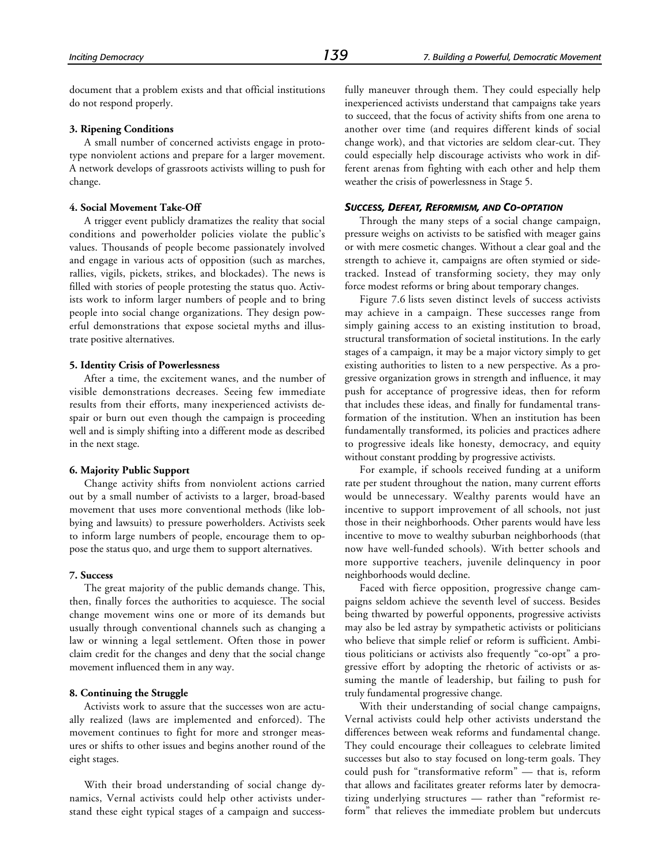document that a problem exists and that official institutions do not respond properly.

#### **3. Ripening Conditions**

A small number of concerned activists engage in prototype nonviolent actions and prepare for a larger movement. A network develops of grassroots activists willing to push for change.

#### **4. Social Movement Take-Off**

A trigger event publicly dramatizes the reality that social conditions and powerholder policies violate the public's values. Thousands of people become passionately involved and engage in various acts of opposition (such as marches, rallies, vigils, pickets, strikes, and blockades). The news is filled with stories of people protesting the status quo. Activists work to inform larger numbers of people and to bring people into social change organizations. They design powerful demonstrations that expose societal myths and illustrate positive alternatives.

#### **5. Identity Crisis of Powerlessness**

After a time, the excitement wanes, and the number of visible demonstrations decreases. Seeing few immediate results from their efforts, many inexperienced activists despair or burn out even though the campaign is proceeding well and is simply shifting into a different mode as described in the next stage.

#### **6. Majority Public Support**

Change activity shifts from nonviolent actions carried out by a small number of activists to a larger, broad-based movement that uses more conventional methods (like lobbying and lawsuits) to pressure powerholders. Activists seek to inform large numbers of people, encourage them to oppose the status quo, and urge them to support alternatives.

#### **7. Success**

The great majority of the public demands change. This, then, finally forces the authorities to acquiesce. The social change movement wins one or more of its demands but usually through conventional channels such as changing a law or winning a legal settlement. Often those in power claim credit for the changes and deny that the social change movement influenced them in any way.

#### **8. Continuing the Struggle**

Activists work to assure that the successes won are actually realized (laws are implemented and enforced). The movement continues to fight for more and stronger measures or shifts to other issues and begins another round of the eight stages.

With their broad understanding of social change dynamics, Vernal activists could help other activists understand these eight typical stages of a campaign and success-

fully maneuver through them. They could especially help inexperienced activists understand that campaigns take years to succeed, that the focus of activity shifts from one arena to another over time (and requires different kinds of social change work), and that victories are seldom clear-cut. They could especially help discourage activists who work in different arenas from fighting with each other and help them weather the crisis of powerlessness in Stage 5.

#### *SUCCESS, DEFEAT, REFORMISM, AND CO-OPTATION*

Through the many steps of a social change campaign, pressure weighs on activists to be satisfied with meager gains or with mere cosmetic changes. Without a clear goal and the strength to achieve it, campaigns are often stymied or sidetracked. Instead of transforming society, they may only force modest reforms or bring about temporary changes.

Figure 7.6 lists seven distinct levels of success activists may achieve in a campaign. These successes range from simply gaining access to an existing institution to broad, structural transformation of societal institutions. In the early stages of a campaign, it may be a major victory simply to get existing authorities to listen to a new perspective. As a progressive organization grows in strength and influence, it may push for acceptance of progressive ideas, then for reform that includes these ideas, and finally for fundamental transformation of the institution. When an institution has been fundamentally transformed, its policies and practices adhere to progressive ideals like honesty, democracy, and equity without constant prodding by progressive activists.

For example, if schools received funding at a uniform rate per student throughout the nation, many current efforts would be unnecessary. Wealthy parents would have an incentive to support improvement of all schools, not just those in their neighborhoods. Other parents would have less incentive to move to wealthy suburban neighborhoods (that now have well-funded schools). With better schools and more supportive teachers, juvenile delinquency in poor neighborhoods would decline.

Faced with fierce opposition, progressive change campaigns seldom achieve the seventh level of success. Besides being thwarted by powerful opponents, progressive activists may also be led astray by sympathetic activists or politicians who believe that simple relief or reform is sufficient. Ambitious politicians or activists also frequently "co-opt" a progressive effort by adopting the rhetoric of activists or assuming the mantle of leadership, but failing to push for truly fundamental progressive change.

With their understanding of social change campaigns, Vernal activists could help other activists understand the differences between weak reforms and fundamental change. They could encourage their colleagues to celebrate limited successes but also to stay focused on long-term goals. They could push for "transformative reform" — that is, reform that allows and facilitates greater reforms later by democratizing underlying structures — rather than "reformist reform" that relieves the immediate problem but undercuts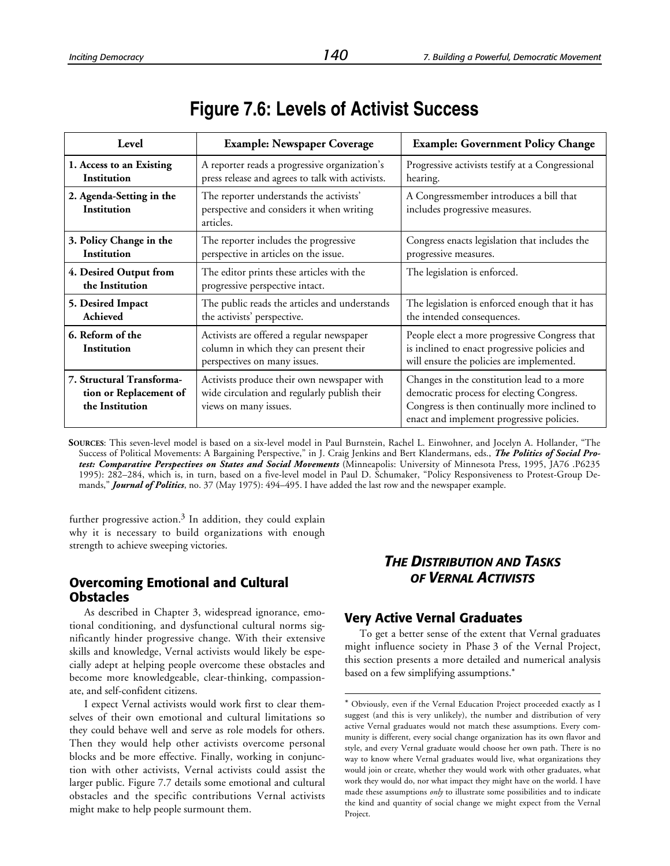| Level                                                                  | <b>Example: Newspaper Coverage</b>                                                                                  | <b>Example: Government Policy Change</b>                                                                                                                                              |  |  |  |
|------------------------------------------------------------------------|---------------------------------------------------------------------------------------------------------------------|---------------------------------------------------------------------------------------------------------------------------------------------------------------------------------------|--|--|--|
| 1. Access to an Existing<br>Institution                                | A reporter reads a progressive organization's<br>press release and agrees to talk with activists.                   | Progressive activists testify at a Congressional<br>hearing.                                                                                                                          |  |  |  |
| 2. Agenda-Setting in the<br>Institution                                | The reporter understands the activists'<br>perspective and considers it when writing<br>articles.                   | A Congressmember introduces a bill that<br>includes progressive measures.                                                                                                             |  |  |  |
| 3. Policy Change in the<br><b>Institution</b>                          | The reporter includes the progressive<br>perspective in articles on the issue.                                      | Congress enacts legislation that includes the<br>progressive measures.                                                                                                                |  |  |  |
| 4. Desired Output from<br>the Institution                              | The editor prints these articles with the<br>progressive perspective intact.                                        | The legislation is enforced.                                                                                                                                                          |  |  |  |
| 5. Desired Impact<br><b>Achieved</b>                                   | The public reads the articles and understands<br>the activists' perspective.                                        | The legislation is enforced enough that it has<br>the intended consequences.                                                                                                          |  |  |  |
| 6. Reform of the<br>Institution                                        | Activists are offered a regular newspaper<br>column in which they can present their<br>perspectives on many issues. | People elect a more progressive Congress that<br>is inclined to enact progressive policies and<br>will ensure the policies are implemented.                                           |  |  |  |
| 7. Structural Transforma-<br>tion or Replacement of<br>the Institution | Activists produce their own newspaper with<br>wide circulation and regularly publish their<br>views on many issues. | Changes in the constitution lead to a more<br>democratic process for electing Congress.<br>Congress is then continually more inclined to<br>enact and implement progressive policies. |  |  |  |

**SOURCES**: This seven-level model is based on a six-level model in Paul Burnstein, Rachel L. Einwohner, and Jocelyn A. Hollander, "The Success of Political Movements: A Bargaining Perspective," in J. Craig Jenkins and Bert Klandermans, eds., *The Politics of Social Protest: Comparative Perspectives on States and Social Movements* (Minneapolis: University of Minnesota Press, 1995, JA76 .P6235 1995): 282–284, which is, in turn, based on a five-level model in Paul D. Schumaker, "Policy Responsiveness to Protest-Group Demands," *Journal of Politics*, no. 37 (May 1975): 494–495. I have added the last row and the newspaper example.

1

further progressive action.<sup>3</sup> In addition, they could explain why it is necessary to build organizations with enough strength to achieve sweeping victories.

# **Overcoming Emotional and Cultural Obstacles**

As described in Chapter 3, widespread ignorance, emotional conditioning, and dysfunctional cultural norms significantly hinder progressive change. With their extensive skills and knowledge, Vernal activists would likely be especially adept at helping people overcome these obstacles and become more knowledgeable, clear-thinking, compassionate, and self-confident citizens.

I expect Vernal activists would work first to clear themselves of their own emotional and cultural limitations so they could behave well and serve as role models for others. Then they would help other activists overcome personal blocks and be more effective. Finally, working in conjunction with other activists, Vernal activists could assist the larger public. Figure 7.7 details some emotional and cultural obstacles and the specific contributions Vernal activists might make to help people surmount them.

# *THE DISTRIBUTION AND TASKS OF VERNAL ACTIVISTS*

## **Very Active Vernal Graduates**

To get a better sense of the extent that Vernal graduates might influence society in Phase 3 of the Vernal Project, this section presents a more detailed and numerical analysis based on a few simplifying assumptions.\*

<sup>\*</sup> Obviously, even if the Vernal Education Project proceeded exactly as I suggest (and this is very unlikely), the number and distribution of very active Vernal graduates would not match these assumptions. Every community is different, every social change organization has its own flavor and style, and every Vernal graduate would choose her own path. There is no way to know where Vernal graduates would live, what organizations they would join or create, whether they would work with other graduates, what work they would do, nor what impact they might have on the world. I have made these assumptions *only* to illustrate some possibilities and to indicate the kind and quantity of social change we might expect from the Vernal Project.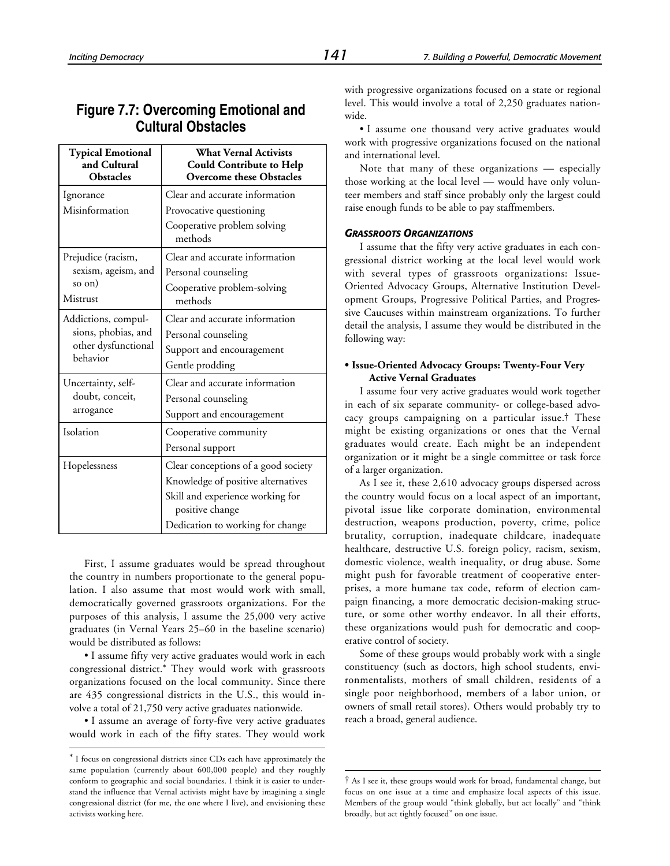# **Figure 7.7: Overcoming Emotional and Cultural Obstacles**

| <b>Typical Emotional</b><br>and Cultural<br><b>Obstacles</b> | <b>What Vernal Activists</b><br><b>Could Contribute to Help</b><br><b>Overcome these Obstacles</b> |  |  |
|--------------------------------------------------------------|----------------------------------------------------------------------------------------------------|--|--|
| Ignorance                                                    | Clear and accurate information                                                                     |  |  |
| Misinformation                                               | Provocative questioning                                                                            |  |  |
|                                                              | Cooperative problem solving<br>methods                                                             |  |  |
| Prejudice (racism,                                           | Clear and accurate information                                                                     |  |  |
| sexism, ageism, and                                          | Personal counseling                                                                                |  |  |
| so on)                                                       | Cooperative problem-solving                                                                        |  |  |
| Mistrust                                                     | methods                                                                                            |  |  |
| Addictions, compul-                                          | Clear and accurate information                                                                     |  |  |
| sions, phobias, and                                          | Personal counseling                                                                                |  |  |
| other dysfunctional<br>behavior                              | Support and encouragement                                                                          |  |  |
|                                                              | Gentle prodding                                                                                    |  |  |
| Uncertainty, self-                                           | Clear and accurate information                                                                     |  |  |
| doubt, conceit,                                              | Personal counseling                                                                                |  |  |
| arrogance                                                    | Support and encouragement                                                                          |  |  |
| Isolation                                                    | Cooperative community                                                                              |  |  |
|                                                              | Personal support                                                                                   |  |  |
| Hopelessness                                                 | Clear conceptions of a good society                                                                |  |  |
|                                                              | Knowledge of positive alternatives                                                                 |  |  |
|                                                              | Skill and experience working for<br>positive change                                                |  |  |
|                                                              | Dedication to working for change                                                                   |  |  |

First, I assume graduates would be spread throughout the country in numbers proportionate to the general population. I also assume that most would work with small, democratically governed grassroots organizations. For the purposes of this analysis, I assume the 25,000 very active graduates (in Vernal Years 25–60 in the baseline scenario) would be distributed as follows:

• I assume fifty very active graduates would work in each congressional district.\* They would work with grassroots organizations focused on the local community. Since there are 435 congressional districts in the U.S., this would involve a total of 21,750 very active graduates nationwide.

• I assume an average of forty-five very active graduates would work in each of the fifty states. They would work

-

with progressive organizations focused on a state or regional level. This would involve a total of 2,250 graduates nationwide.

• I assume one thousand very active graduates would work with progressive organizations focused on the national and international level.

Note that many of these organizations — especially those working at the local level — would have only volunteer members and staff since probably only the largest could raise enough funds to be able to pay staffmembers.

#### *GRASSROOTS ORGANIZATIONS*

I assume that the fifty very active graduates in each congressional district working at the local level would work with several types of grassroots organizations: Issue-Oriented Advocacy Groups, Alternative Institution Development Groups, Progressive Political Parties, and Progressive Caucuses within mainstream organizations. To further detail the analysis, I assume they would be distributed in the following way:

#### **• Issue-Oriented Advocacy Groups: Twenty-Four Very Active Vernal Graduates**

I assume four very active graduates would work together in each of six separate community- or college-based advocacy groups campaigning on a particular issue.† These might be existing organizations or ones that the Vernal graduates would create. Each might be an independent organization or it might be a single committee or task force of a larger organization.

As I see it, these 2,610 advocacy groups dispersed across the country would focus on a local aspect of an important, pivotal issue like corporate domination, environmental destruction, weapons production, poverty, crime, police brutality, corruption, inadequate childcare, inadequate healthcare, destructive U.S. foreign policy, racism, sexism, domestic violence, wealth inequality, or drug abuse. Some might push for favorable treatment of cooperative enterprises, a more humane tax code, reform of election campaign financing, a more democratic decision-making structure, or some other worthy endeavor. In all their efforts, these organizations would push for democratic and cooperative control of society.

Some of these groups would probably work with a single constituency (such as doctors, high school students, environmentalists, mothers of small children, residents of a single poor neighborhood, members of a labor union, or owners of small retail stores). Others would probably try to reach a broad, general audience.

1

<sup>\*</sup> I focus on congressional districts since CDs each have approximately the same population (currently about 600,000 people) and they roughly conform to geographic and social boundaries. I think it is easier to understand the influence that Vernal activists might have by imagining a single congressional district (for me, the one where I live), and envisioning these activists working here.

<sup>†</sup> As I see it, these groups would work for broad, fundamental change, but focus on one issue at a time and emphasize local aspects of this issue. Members of the group would "think globally, but act locally" and "think broadly, but act tightly focused" on one issue.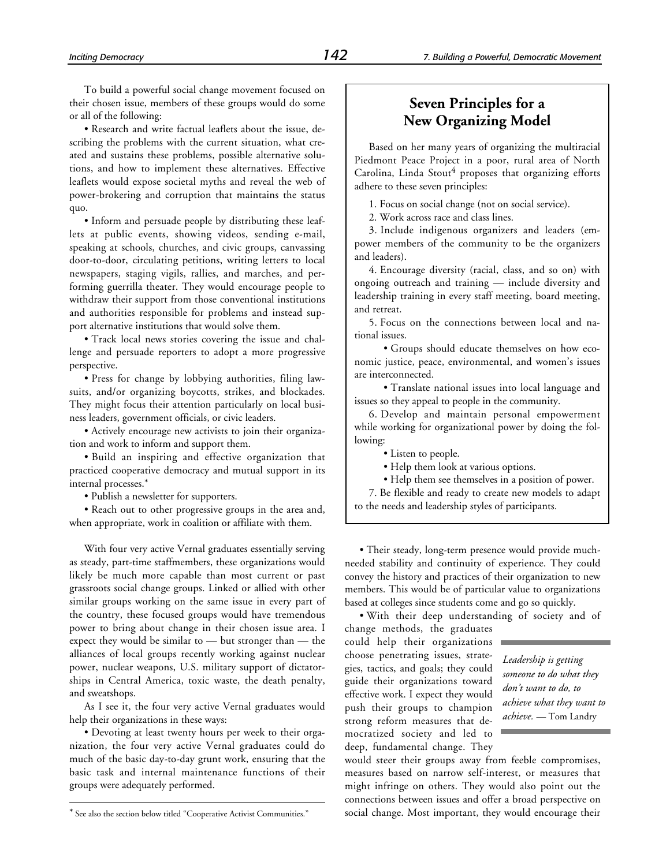To build a powerful social change movement focused on their chosen issue, members of these groups would do some or all of the following:

• Research and write factual leaflets about the issue, describing the problems with the current situation, what created and sustains these problems, possible alternative solutions, and how to implement these alternatives. Effective leaflets would expose societal myths and reveal the web of power-brokering and corruption that maintains the status quo.

• Inform and persuade people by distributing these leaflets at public events, showing videos, sending e-mail, speaking at schools, churches, and civic groups, canvassing door-to-door, circulating petitions, writing letters to local newspapers, staging vigils, rallies, and marches, and performing guerrilla theater. They would encourage people to withdraw their support from those conventional institutions and authorities responsible for problems and instead support alternative institutions that would solve them.

• Track local news stories covering the issue and challenge and persuade reporters to adopt a more progressive perspective.

• Press for change by lobbying authorities, filing lawsuits, and/or organizing boycotts, strikes, and blockades. They might focus their attention particularly on local business leaders, government officials, or civic leaders.

• Actively encourage new activists to join their organization and work to inform and support them.

• Build an inspiring and effective organization that practiced cooperative democracy and mutual support in its internal processes.\*

• Publish a newsletter for supporters.

• Reach out to other progressive groups in the area and, when appropriate, work in coalition or affiliate with them.

With four very active Vernal graduates essentially serving as steady, part-time staffmembers, these organizations would likely be much more capable than most current or past grassroots social change groups. Linked or allied with other similar groups working on the same issue in every part of the country, these focused groups would have tremendous power to bring about change in their chosen issue area. I expect they would be similar to — but stronger than — the alliances of local groups recently working against nuclear power, nuclear weapons, U.S. military support of dictatorships in Central America, toxic waste, the death penalty, and sweatshops.

As I see it, the four very active Vernal graduates would help their organizations in these ways:

• Devoting at least twenty hours per week to their organization, the four very active Vernal graduates could do much of the basic day-to-day grunt work, ensuring that the basic task and internal maintenance functions of their groups were adequately performed.

-

# **Seven Principles for a New Organizing Model**

Based on her many years of organizing the multiracial Piedmont Peace Project in a poor, rural area of North Carolina, Linda Stout<sup>4</sup> proposes that organizing efforts adhere to these seven principles:

1. Focus on social change (not on social service).

2. Work across race and class lines.

3. Include indigenous organizers and leaders (empower members of the community to be the organizers and leaders).

4. Encourage diversity (racial, class, and so on) with ongoing outreach and training — include diversity and leadership training in every staff meeting, board meeting, and retreat.

5. Focus on the connections between local and national issues.

• Groups should educate themselves on how economic justice, peace, environmental, and women's issues are interconnected.

• Translate national issues into local language and issues so they appeal to people in the community.

6. Develop and maintain personal empowerment while working for organizational power by doing the following:

• Listen to people.

• Help them look at various options.

• Help them see themselves in a position of power.

7. Be flexible and ready to create new models to adapt to the needs and leadership styles of participants.

• Their steady, long-term presence would provide muchneeded stability and continuity of experience. They could convey the history and practices of their organization to new members. This would be of particular value to organizations based at colleges since students come and go so quickly.

• With their deep understanding of society and of

change methods, the graduates could help their organizations choose penetrating issues, strategies, tactics, and goals; they could guide their organizations toward effective work. I expect they would push their groups to champion strong reform measures that democratized society and led to deep, fundamental change. They

*Leadership is getting someone to do what they don't want to do, to achieve what they want to achieve.* — Tom Landry

would steer their groups away from feeble compromises, measures based on narrow self-interest, or measures that might infringe on others. They would also point out the connections between issues and offer a broad perspective on social change. Most important, they would encourage their

<sup>\*</sup> See also the section below titled "Cooperative Activist Communities."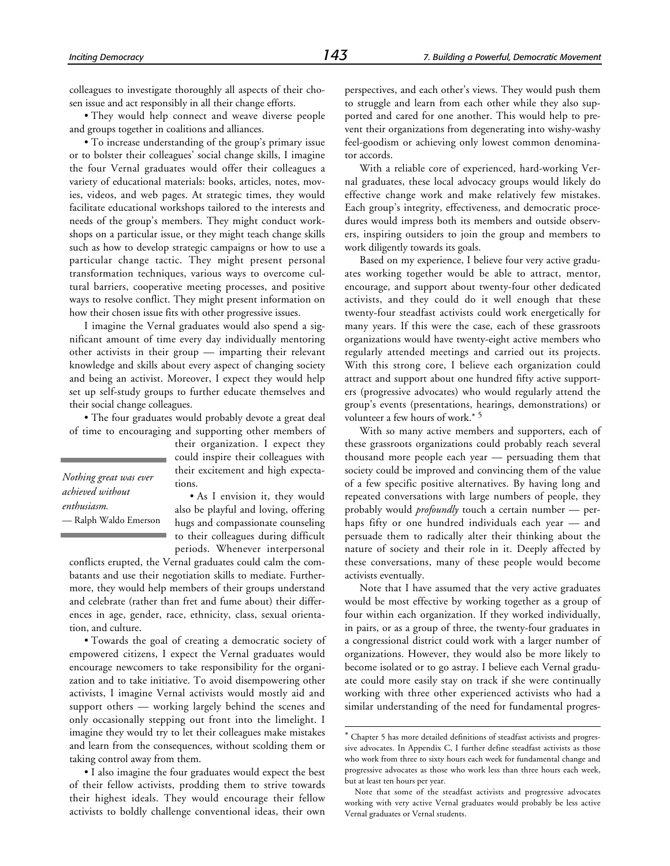colleagues to investigate thoroughly all aspects of their chosen issue and act responsibly in all their change efforts.

• They would help connect and weave diverse people and groups together in coalitions and alliances.

• To increase understanding of the group's primary issue or to bolster their colleagues' social change skills, I imagine the four Vernal graduates would offer their colleagues a variety of educational materials: books, articles, notes, movies, videos, and web pages. At strategic times, they would facilitate educational workshops tailored to the interests and needs of the group's members. They might conduct workshops on a particular issue, or they might teach change skills such as how to develop strategic campaigns or how to use a particular change tactic. They might present personal transformation techniques, various ways to overcome cultural barriers, cooperative meeting processes, and positive ways to resolve conflict. They might present information on how their chosen issue fits with other progressive issues.

I imagine the Vernal graduates would also spend a significant amount of time every day individually mentoring other activists in their group — imparting their relevant knowledge and skills about every aspect of changing society and being an activist. Moreover, I expect they would help set up self-study groups to further educate themselves and their social change colleagues.

• The four graduates would probably devote a great deal of time to encouraging and supporting other members of

*Nothing great was ever achieved without enthusiasm.* — Ralph Waldo Emerson their organization. I expect they could inspire their colleagues with their excitement and high expectations.

• As I envision it, they would also be playful and loving, offering hugs and compassionate counseling to their colleagues during difficult periods. Whenever interpersonal

conflicts erupted, the Vernal graduates could calm the combatants and use their negotiation skills to mediate. Furthermore, they would help members of their groups understand and celebrate (rather than fret and fume about) their differences in age, gender, race, ethnicity, class, sexual orientation, and culture.

• Towards the goal of creating a democratic society of empowered citizens, I expect the Vernal graduates would encourage newcomers to take responsibility for the organization and to take initiative. To avoid disempowering other activists, I imagine Vernal activists would mostly aid and support others — working largely behind the scenes and only occasionally stepping out front into the limelight. I imagine they would try to let their colleagues make mistakes and learn from the consequences, without scolding them or taking control away from them.

• I also imagine the four graduates would expect the best of their fellow activists, prodding them to strive towards their highest ideals. They would encourage their fellow activists to boldly challenge conventional ideas, their own perspectives, and each other's views. They would push them to struggle and learn from each other while they also supported and cared for one another. This would help to prevent their organizations from degenerating into wishy-washy feel-goodism or achieving only lowest common denominator accords.

With a reliable core of experienced, hard-working Vernal graduates, these local advocacy groups would likely do effective change work and make relatively few mistakes. Each group's integrity, effectiveness, and democratic procedures would impress both its members and outside observers, inspiring outsiders to join the group and members to work diligently towards its goals.

Based on my experience, I believe four very active graduates working together would be able to attract, mentor, encourage, and support about twenty-four other dedicated activists, and they could do it well enough that these twenty-four steadfast activists could work energetically for many years. If this were the case, each of these grassroots organizations would have twenty-eight active members who regularly attended meetings and carried out its projects. With this strong core, I believe each organization could attract and support about one hundred fifty active supporters (progressive advocates) who would regularly attend the group's events (presentations, hearings, demonstrations) or volunteer a few hours of work.\* <sup>5</sup>

With so many active members and supporters, each of these grassroots organizations could probably reach several thousand more people each year — persuading them that society could be improved and convincing them of the value of a few specific positive alternatives. By having long and repeated conversations with large numbers of people, they probably would *profoundly* touch a certain number — perhaps fifty or one hundred individuals each year — and persuade them to radically alter their thinking about the nature of society and their role in it. Deeply affected by these conversations, many of these people would become activists eventually.

Note that I have assumed that the very active graduates would be most effective by working together as a group of four within each organization. If they worked individually, in pairs, or as a group of three, the twenty-four graduates in a congressional district could work with a larger number of organizations. However, they would also be more likely to become isolated or to go astray. I believe each Vernal graduate could more easily stay on track if she were continually working with three other experienced activists who had a similar understanding of the need for fundamental progres-

1

<sup>\*</sup> Chapter 5 has more detailed definitions of steadfast activists and progressive advocates. In Appendix C, I further define steadfast activists as those who work from three to sixty hours each week for fundamental change and progressive advocates as those who work less than three hours each week, but at least ten hours per year.

Note that some of the steadfast activists and progressive advocates working with very active Vernal graduates would probably be less active Vernal graduates or Vernal students.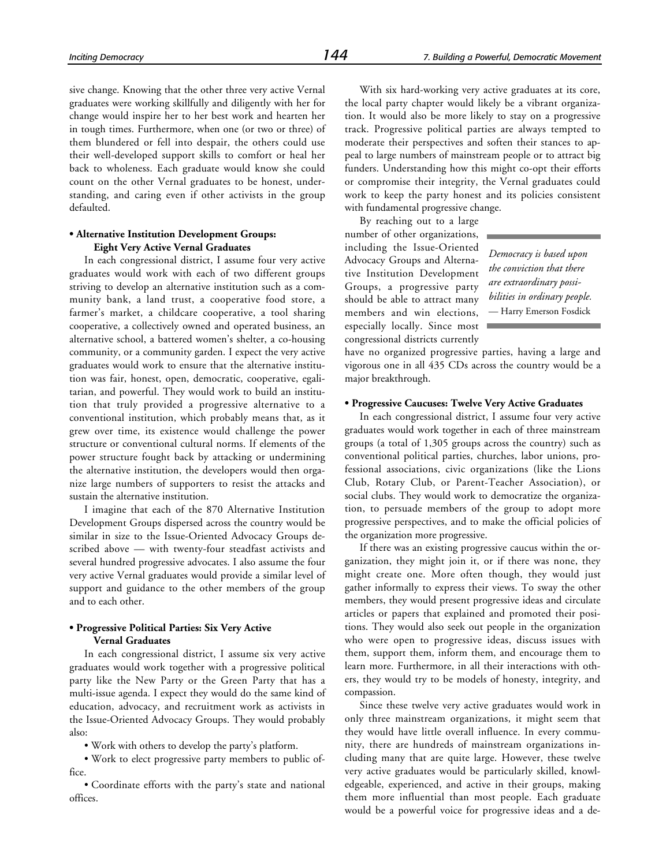sive change. Knowing that the other three very active Vernal graduates were working skillfully and diligently with her for change would inspire her to her best work and hearten her in tough times. Furthermore, when one (or two or three) of them blundered or fell into despair, the others could use their well-developed support skills to comfort or heal her back to wholeness. Each graduate would know she could count on the other Vernal graduates to be honest, understanding, and caring even if other activists in the group defaulted.

#### **• Alternative Institution Development Groups: Eight Very Active Vernal Graduates**

In each congressional district, I assume four very active graduates would work with each of two different groups striving to develop an alternative institution such as a community bank, a land trust, a cooperative food store, a farmer's market, a childcare cooperative, a tool sharing cooperative, a collectively owned and operated business, an alternative school, a battered women's shelter, a co-housing community, or a community garden. I expect the very active graduates would work to ensure that the alternative institution was fair, honest, open, democratic, cooperative, egalitarian, and powerful. They would work to build an institution that truly provided a progressive alternative to a conventional institution, which probably means that, as it grew over time, its existence would challenge the power structure or conventional cultural norms. If elements of the power structure fought back by attacking or undermining the alternative institution, the developers would then organize large numbers of supporters to resist the attacks and sustain the alternative institution.

I imagine that each of the 870 Alternative Institution Development Groups dispersed across the country would be similar in size to the Issue-Oriented Advocacy Groups described above — with twenty-four steadfast activists and several hundred progressive advocates. I also assume the four very active Vernal graduates would provide a similar level of support and guidance to the other members of the group and to each other.

#### **• Progressive Political Parties: Six Very Active Vernal Graduates**

In each congressional district, I assume six very active graduates would work together with a progressive political party like the New Party or the Green Party that has a multi-issue agenda. I expect they would do the same kind of education, advocacy, and recruitment work as activists in the Issue-Oriented Advocacy Groups. They would probably also:

• Work with others to develop the party's platform.

• Work to elect progressive party members to public office.

• Coordinate efforts with the party's state and national offices.

With six hard-working very active graduates at its core, the local party chapter would likely be a vibrant organization. It would also be more likely to stay on a progressive track. Progressive political parties are always tempted to moderate their perspectives and soften their stances to appeal to large numbers of mainstream people or to attract big funders. Understanding how this might co-opt their efforts or compromise their integrity, the Vernal graduates could work to keep the party honest and its policies consistent with fundamental progressive change.

By reaching out to a large number of other organizations, including the Issue-Oriented Advocacy Groups and Alternative Institution Development Groups, a progressive party should be able to attract many members and win elections, especially locally. Since most congressional districts currently

*Democracy is based upon the conviction that there are extraordinary possibilities in ordinary people.* — Harry Emerson Fosdick

have no organized progressive parties, having a large and vigorous one in all 435 CDs across the country would be a major breakthrough.

#### **• Progressive Caucuses: Twelve Very Active Graduates**

In each congressional district, I assume four very active graduates would work together in each of three mainstream groups (a total of 1,305 groups across the country) such as conventional political parties, churches, labor unions, professional associations, civic organizations (like the Lions Club, Rotary Club, or Parent-Teacher Association), or social clubs. They would work to democratize the organization, to persuade members of the group to adopt more progressive perspectives, and to make the official policies of the organization more progressive.

If there was an existing progressive caucus within the organization, they might join it, or if there was none, they might create one. More often though, they would just gather informally to express their views. To sway the other members, they would present progressive ideas and circulate articles or papers that explained and promoted their positions. They would also seek out people in the organization who were open to progressive ideas, discuss issues with them, support them, inform them, and encourage them to learn more. Furthermore, in all their interactions with others, they would try to be models of honesty, integrity, and compassion.

Since these twelve very active graduates would work in only three mainstream organizations, it might seem that they would have little overall influence. In every community, there are hundreds of mainstream organizations including many that are quite large. However, these twelve very active graduates would be particularly skilled, knowledgeable, experienced, and active in their groups, making them more influential than most people. Each graduate would be a powerful voice for progressive ideas and a de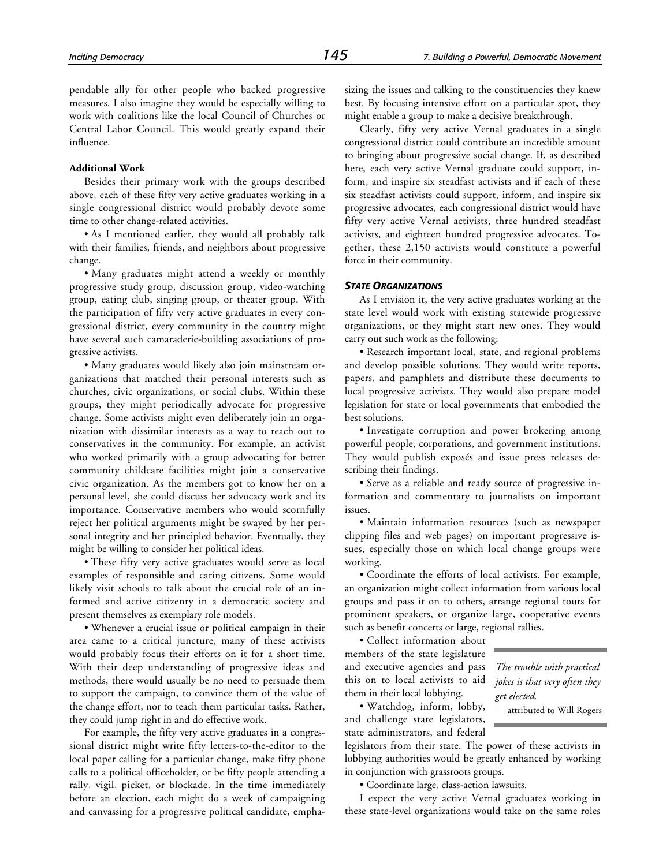pendable ally for other people who backed progressive measures. I also imagine they would be especially willing to work with coalitions like the local Council of Churches or Central Labor Council. This would greatly expand their influence.

#### **Additional Work**

Besides their primary work with the groups described above, each of these fifty very active graduates working in a single congressional district would probably devote some time to other change-related activities.

• As I mentioned earlier, they would all probably talk with their families, friends, and neighbors about progressive change.

• Many graduates might attend a weekly or monthly progressive study group, discussion group, video-watching group, eating club, singing group, or theater group. With the participation of fifty very active graduates in every congressional district, every community in the country might have several such camaraderie-building associations of progressive activists.

• Many graduates would likely also join mainstream organizations that matched their personal interests such as churches, civic organizations, or social clubs. Within these groups, they might periodically advocate for progressive change. Some activists might even deliberately join an organization with dissimilar interests as a way to reach out to conservatives in the community. For example, an activist who worked primarily with a group advocating for better community childcare facilities might join a conservative civic organization. As the members got to know her on a personal level, she could discuss her advocacy work and its importance. Conservative members who would scornfully reject her political arguments might be swayed by her personal integrity and her principled behavior. Eventually, they might be willing to consider her political ideas.

• These fifty very active graduates would serve as local examples of responsible and caring citizens. Some would likely visit schools to talk about the crucial role of an informed and active citizenry in a democratic society and present themselves as exemplary role models.

• Whenever a crucial issue or political campaign in their area came to a critical juncture, many of these activists would probably focus their efforts on it for a short time. With their deep understanding of progressive ideas and methods, there would usually be no need to persuade them to support the campaign, to convince them of the value of the change effort, nor to teach them particular tasks. Rather, they could jump right in and do effective work.

For example, the fifty very active graduates in a congressional district might write fifty letters-to-the-editor to the local paper calling for a particular change, make fifty phone calls to a political officeholder, or be fifty people attending a rally, vigil, picket, or blockade. In the time immediately before an election, each might do a week of campaigning and canvassing for a progressive political candidate, emphasizing the issues and talking to the constituencies they knew best. By focusing intensive effort on a particular spot, they might enable a group to make a decisive breakthrough.

Clearly, fifty very active Vernal graduates in a single congressional district could contribute an incredible amount to bringing about progressive social change. If, as described here, each very active Vernal graduate could support, inform, and inspire six steadfast activists and if each of these six steadfast activists could support, inform, and inspire six progressive advocates, each congressional district would have fifty very active Vernal activists, three hundred steadfast activists, and eighteen hundred progressive advocates. Together, these 2,150 activists would constitute a powerful force in their community.

#### *STATE ORGANIZATIONS*

As I envision it, the very active graduates working at the state level would work with existing statewide progressive organizations, or they might start new ones. They would carry out such work as the following:

• Research important local, state, and regional problems and develop possible solutions. They would write reports, papers, and pamphlets and distribute these documents to local progressive activists. They would also prepare model legislation for state or local governments that embodied the best solutions.

• Investigate corruption and power brokering among powerful people, corporations, and government institutions. They would publish exposés and issue press releases describing their findings.

• Serve as a reliable and ready source of progressive information and commentary to journalists on important issues.

• Maintain information resources (such as newspaper clipping files and web pages) on important progressive issues, especially those on which local change groups were working.

• Coordinate the efforts of local activists. For example, an organization might collect information from various local groups and pass it on to others, arrange regional tours for prominent speakers, or organize large, cooperative events such as benefit concerts or large, regional rallies.

• Collect information about members of the state legislature and executive agencies and pass this on to local activists to aid them in their local lobbying.

• Watchdog, inform, lobby, and challenge state legislators, state administrators, and federal

*The trouble with practical jokes is that very often they get elected.*

— attributed to Will Rogers

legislators from their state. The power of these activists in lobbying authorities would be greatly enhanced by working in conjunction with grassroots groups.

• Coordinate large, class-action lawsuits.

I expect the very active Vernal graduates working in these state-level organizations would take on the same roles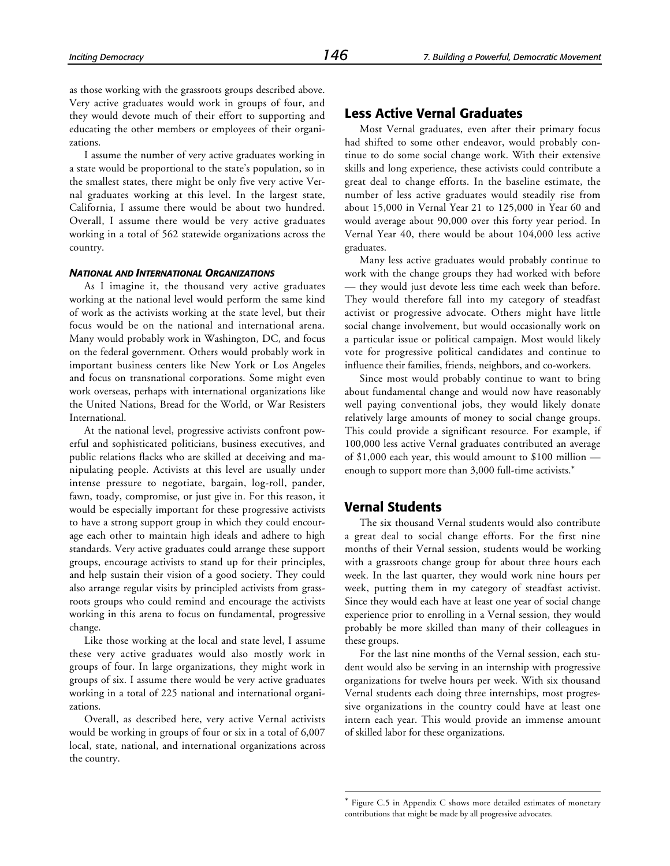as those working with the grassroots groups described above. Very active graduates would work in groups of four, and they would devote much of their effort to supporting and educating the other members or employees of their organizations.

I assume the number of very active graduates working in a state would be proportional to the state's population, so in the smallest states, there might be only five very active Vernal graduates working at this level. In the largest state, California, I assume there would be about two hundred. Overall, I assume there would be very active graduates working in a total of 562 statewide organizations across the country.

#### *NATIONAL AND INTERNATIONAL ORGANIZATIONS*

As I imagine it, the thousand very active graduates working at the national level would perform the same kind of work as the activists working at the state level, but their focus would be on the national and international arena. Many would probably work in Washington, DC, and focus on the federal government. Others would probably work in important business centers like New York or Los Angeles and focus on transnational corporations. Some might even work overseas, perhaps with international organizations like the United Nations, Bread for the World, or War Resisters International.

At the national level, progressive activists confront powerful and sophisticated politicians, business executives, and public relations flacks who are skilled at deceiving and manipulating people. Activists at this level are usually under intense pressure to negotiate, bargain, log-roll, pander, fawn, toady, compromise, or just give in. For this reason, it would be especially important for these progressive activists to have a strong support group in which they could encourage each other to maintain high ideals and adhere to high standards. Very active graduates could arrange these support groups, encourage activists to stand up for their principles, and help sustain their vision of a good society. They could also arrange regular visits by principled activists from grassroots groups who could remind and encourage the activists working in this arena to focus on fundamental, progressive change.

Like those working at the local and state level, I assume these very active graduates would also mostly work in groups of four. In large organizations, they might work in groups of six. I assume there would be very active graduates working in a total of 225 national and international organizations.

Overall, as described here, very active Vernal activists would be working in groups of four or six in a total of 6,007 local, state, national, and international organizations across the country.

# **Less Active Vernal Graduates**

Most Vernal graduates, even after their primary focus had shifted to some other endeavor, would probably continue to do some social change work. With their extensive skills and long experience, these activists could contribute a great deal to change efforts. In the baseline estimate, the number of less active graduates would steadily rise from about 15,000 in Vernal Year 21 to 125,000 in Year 60 and would average about 90,000 over this forty year period. In Vernal Year 40, there would be about 104,000 less active graduates.

Many less active graduates would probably continue to work with the change groups they had worked with before — they would just devote less time each week than before. They would therefore fall into my category of steadfast activist or progressive advocate. Others might have little social change involvement, but would occasionally work on a particular issue or political campaign. Most would likely vote for progressive political candidates and continue to influence their families, friends, neighbors, and co-workers.

Since most would probably continue to want to bring about fundamental change and would now have reasonably well paying conventional jobs, they would likely donate relatively large amounts of money to social change groups. This could provide a significant resource. For example, if 100,000 less active Vernal graduates contributed an average of \$1,000 each year, this would amount to \$100 million enough to support more than 3,000 full-time activists.\*

#### **Vernal Students**

1

The six thousand Vernal students would also contribute a great deal to social change efforts. For the first nine months of their Vernal session, students would be working with a grassroots change group for about three hours each week. In the last quarter, they would work nine hours per week, putting them in my category of steadfast activist. Since they would each have at least one year of social change experience prior to enrolling in a Vernal session, they would probably be more skilled than many of their colleagues in these groups.

For the last nine months of the Vernal session, each student would also be serving in an internship with progressive organizations for twelve hours per week. With six thousand Vernal students each doing three internships, most progressive organizations in the country could have at least one intern each year. This would provide an immense amount of skilled labor for these organizations.

<sup>\*</sup> Figure C.5 in Appendix C shows more detailed estimates of monetary contributions that might be made by all progressive advocates.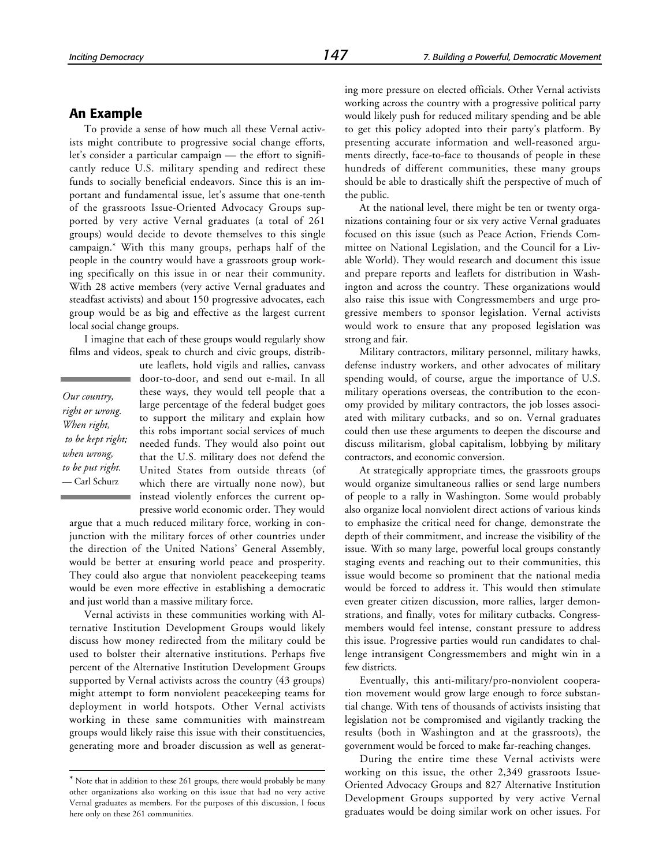## **An Example**

To provide a sense of how much all these Vernal activists might contribute to progressive social change efforts, let's consider a particular campaign — the effort to significantly reduce U.S. military spending and redirect these funds to socially beneficial endeavors. Since this is an important and fundamental issue, let's assume that one-tenth of the grassroots Issue-Oriented Advocacy Groups supported by very active Vernal graduates (a total of 261 groups) would decide to devote themselves to this single campaign.\* With this many groups, perhaps half of the people in the country would have a grassroots group working specifically on this issue in or near their community. With 28 active members (very active Vernal graduates and steadfast activists) and about 150 progressive advocates, each group would be as big and effective as the largest current local social change groups.

I imagine that each of these groups would regularly show films and videos, speak to church and civic groups, distrib-

*Our country, right or wrong. When right, to be kept right; when wrong, to be put right.* — Carl Schurz

-

ute leaflets, hold vigils and rallies, canvass door-to-door, and send out e-mail. In all these ways, they would tell people that a large percentage of the federal budget goes to support the military and explain how this robs important social services of much needed funds. They would also point out that the U.S. military does not defend the United States from outside threats (of which there are virtually none now), but instead violently enforces the current oppressive world economic order. They would

argue that a much reduced military force, working in conjunction with the military forces of other countries under the direction of the United Nations' General Assembly, would be better at ensuring world peace and prosperity. They could also argue that nonviolent peacekeeping teams would be even more effective in establishing a democratic and just world than a massive military force.

Vernal activists in these communities working with Alternative Institution Development Groups would likely discuss how money redirected from the military could be used to bolster their alternative institutions. Perhaps five percent of the Alternative Institution Development Groups supported by Vernal activists across the country (43 groups) might attempt to form nonviolent peacekeeping teams for deployment in world hotspots. Other Vernal activists working in these same communities with mainstream groups would likely raise this issue with their constituencies, generating more and broader discussion as well as generating more pressure on elected officials. Other Vernal activists working across the country with a progressive political party would likely push for reduced military spending and be able to get this policy adopted into their party's platform. By presenting accurate information and well-reasoned arguments directly, face-to-face to thousands of people in these hundreds of different communities, these many groups should be able to drastically shift the perspective of much of the public.

At the national level, there might be ten or twenty organizations containing four or six very active Vernal graduates focused on this issue (such as Peace Action, Friends Committee on National Legislation, and the Council for a Livable World). They would research and document this issue and prepare reports and leaflets for distribution in Washington and across the country. These organizations would also raise this issue with Congressmembers and urge progressive members to sponsor legislation. Vernal activists would work to ensure that any proposed legislation was strong and fair.

Military contractors, military personnel, military hawks, defense industry workers, and other advocates of military spending would, of course, argue the importance of U.S. military operations overseas, the contribution to the economy provided by military contractors, the job losses associated with military cutbacks, and so on. Vernal graduates could then use these arguments to deepen the discourse and discuss militarism, global capitalism, lobbying by military contractors, and economic conversion.

At strategically appropriate times, the grassroots groups would organize simultaneous rallies or send large numbers of people to a rally in Washington. Some would probably also organize local nonviolent direct actions of various kinds to emphasize the critical need for change, demonstrate the depth of their commitment, and increase the visibility of the issue. With so many large, powerful local groups constantly staging events and reaching out to their communities, this issue would become so prominent that the national media would be forced to address it. This would then stimulate even greater citizen discussion, more rallies, larger demonstrations, and finally, votes for military cutbacks. Congressmembers would feel intense, constant pressure to address this issue. Progressive parties would run candidates to challenge intransigent Congressmembers and might win in a few districts.

Eventually, this anti-military/pro-nonviolent cooperation movement would grow large enough to force substantial change. With tens of thousands of activists insisting that legislation not be compromised and vigilantly tracking the results (both in Washington and at the grassroots), the government would be forced to make far-reaching changes.

During the entire time these Vernal activists were working on this issue, the other 2,349 grassroots Issue-Oriented Advocacy Groups and 827 Alternative Institution Development Groups supported by very active Vernal graduates would be doing similar work on other issues. For

<sup>\*</sup> Note that in addition to these 261 groups, there would probably be many other organizations also working on this issue that had no very active Vernal graduates as members. For the purposes of this discussion, I focus here only on these 261 communities.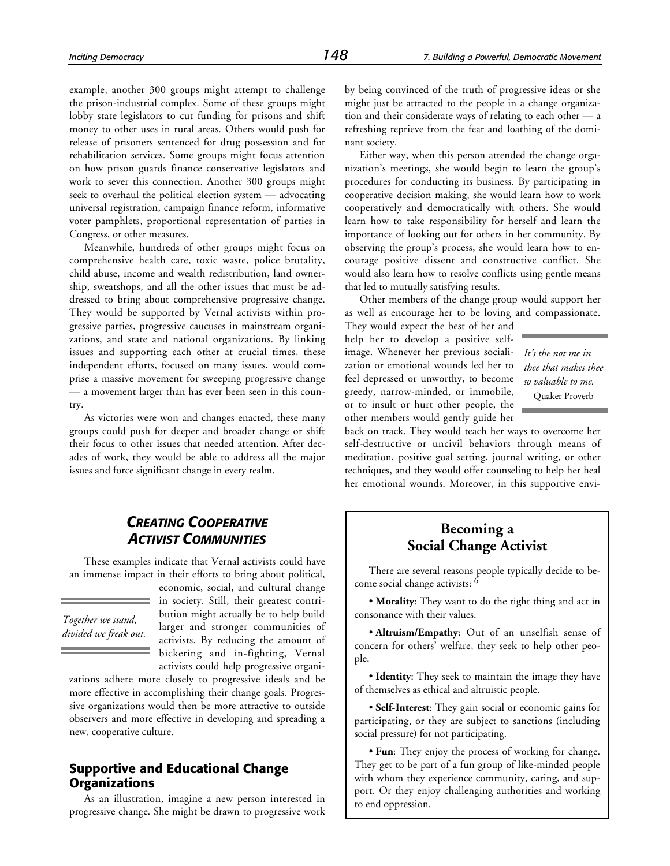example, another 300 groups might attempt to challenge the prison-industrial complex. Some of these groups might lobby state legislators to cut funding for prisons and shift money to other uses in rural areas. Others would push for release of prisoners sentenced for drug possession and for rehabilitation services. Some groups might focus attention on how prison guards finance conservative legislators and work to sever this connection. Another 300 groups might seek to overhaul the political election system — advocating universal registration, campaign finance reform, informative voter pamphlets, proportional representation of parties in Congress, or other measures.

Meanwhile, hundreds of other groups might focus on comprehensive health care, toxic waste, police brutality, child abuse, income and wealth redistribution, land ownership, sweatshops, and all the other issues that must be addressed to bring about comprehensive progressive change. They would be supported by Vernal activists within progressive parties, progressive caucuses in mainstream organizations, and state and national organizations. By linking issues and supporting each other at crucial times, these independent efforts, focused on many issues, would comprise a massive movement for sweeping progressive change — a movement larger than has ever been seen in this country.

As victories were won and changes enacted, these many groups could push for deeper and broader change or shift their focus to other issues that needed attention. After decades of work, they would be able to address all the major issues and force significant change in every realm.

by being convinced of the truth of progressive ideas or she might just be attracted to the people in a change organization and their considerate ways of relating to each other — a refreshing reprieve from the fear and loathing of the dominant society.

Either way, when this person attended the change organization's meetings, she would begin to learn the group's procedures for conducting its business. By participating in cooperative decision making, she would learn how to work cooperatively and democratically with others. She would learn how to take responsibility for herself and learn the importance of looking out for others in her community. By observing the group's process, she would learn how to encourage positive dissent and constructive conflict. She would also learn how to resolve conflicts using gentle means that led to mutually satisfying results.

Other members of the change group would support her as well as encourage her to be loving and compassionate.

They would expect the best of her and help her to develop a positive selfimage. Whenever her previous socialization or emotional wounds led her to feel depressed or unworthy, to become greedy, narrow-minded, or immobile, or to insult or hurt other people, the other members would gently guide her

*It's the not me in thee that makes thee so valuable to me.* —Quaker Proverb

back on track. They would teach her ways to overcome her self-destructive or uncivil behaviors through means of meditation, positive goal setting, journal writing, or other techniques, and they would offer counseling to help her heal her emotional wounds. Moreover, in this supportive envi-

# *CREATING COOPERATIVE ACTIVIST COMMUNITIES*

These examples indicate that Vernal activists could have an immense impact in their efforts to bring about political,

*Together we stand, divided we freak out.*

economic, social, and cultural change in society. Still, their greatest contribution might actually be to help build larger and stronger communities of activists. By reducing the amount of bickering and in-fighting, Vernal activists could help progressive organi-

zations adhere more closely to progressive ideals and be more effective in accomplishing their change goals. Progressive organizations would then be more attractive to outside observers and more effective in developing and spreading a new, cooperative culture.

# **Supportive and Educational Change Organizations**

As an illustration, imagine a new person interested in progressive change. She might be drawn to progressive work

# **Becoming a Social Change Activist**

There are several reasons people typically decide to become social change activists: 6

• **Morality**: They want to do the right thing and act in consonance with their values.

• **Altruism/Empathy**: Out of an unselfish sense of concern for others' welfare, they seek to help other people.

• **Identity**: They seek to maintain the image they have of themselves as ethical and altruistic people.

• **Self-Interest**: They gain social or economic gains for participating, or they are subject to sanctions (including social pressure) for not participating.

• **Fun**: They enjoy the process of working for change. They get to be part of a fun group of like-minded people with whom they experience community, caring, and support. Or they enjoy challenging authorities and working to end oppression.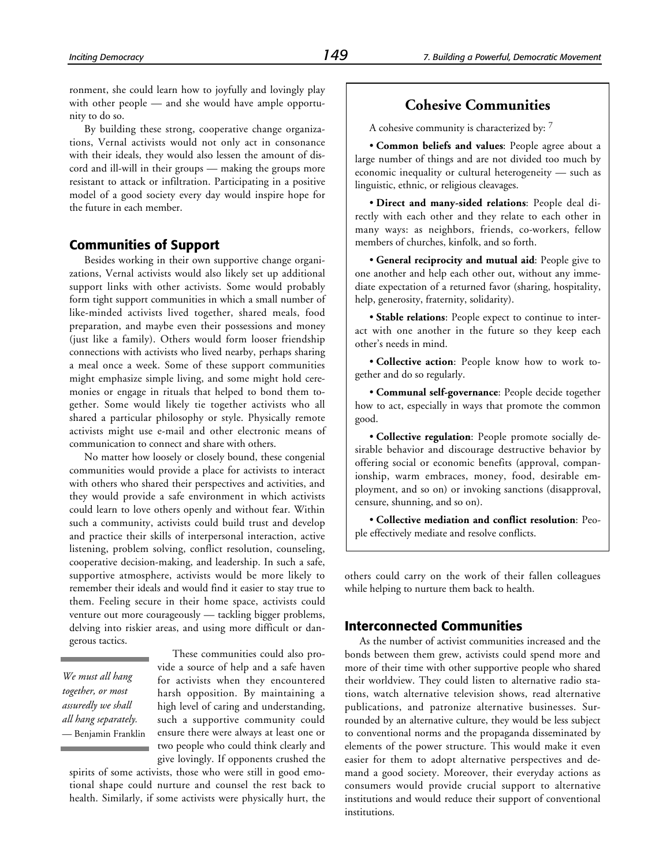ronment, she could learn how to joyfully and lovingly play with other people — and she would have ample opportunity to do so.

By building these strong, cooperative change organizations, Vernal activists would not only act in consonance with their ideals, they would also lessen the amount of discord and ill-will in their groups — making the groups more resistant to attack or infiltration. Participating in a positive model of a good society every day would inspire hope for the future in each member.

#### **Communities of Support**

Besides working in their own supportive change organizations, Vernal activists would also likely set up additional support links with other activists. Some would probably form tight support communities in which a small number of like-minded activists lived together, shared meals, food preparation, and maybe even their possessions and money (just like a family). Others would form looser friendship connections with activists who lived nearby, perhaps sharing a meal once a week. Some of these support communities might emphasize simple living, and some might hold ceremonies or engage in rituals that helped to bond them together. Some would likely tie together activists who all shared a particular philosophy or style. Physically remote activists might use e-mail and other electronic means of communication to connect and share with others.

No matter how loosely or closely bound, these congenial communities would provide a place for activists to interact with others who shared their perspectives and activities, and they would provide a safe environment in which activists could learn to love others openly and without fear. Within such a community, activists could build trust and develop and practice their skills of interpersonal interaction, active listening, problem solving, conflict resolution, counseling, cooperative decision-making, and leadership. In such a safe, supportive atmosphere, activists would be more likely to remember their ideals and would find it easier to stay true to them. Feeling secure in their home space, activists could venture out more courageously — tackling bigger problems, delving into riskier areas, and using more difficult or dangerous tactics.

*We must all hang together, or most assuredly we shall all hang separately.* — Benjamin Franklin

These communities could also provide a source of help and a safe haven for activists when they encountered harsh opposition. By maintaining a high level of caring and understanding, such a supportive community could ensure there were always at least one or two people who could think clearly and give lovingly. If opponents crushed the

spirits of some activists, those who were still in good emotional shape could nurture and counsel the rest back to health. Similarly, if some activists were physically hurt, the

# **Cohesive Communities**

A cohesive community is characterized by: <sup>7</sup>

• **Common beliefs and values**: People agree about a large number of things and are not divided too much by economic inequality or cultural heterogeneity — such as linguistic, ethnic, or religious cleavages.

• **Direct and many-sided relations**: People deal directly with each other and they relate to each other in many ways: as neighbors, friends, co-workers, fellow members of churches, kinfolk, and so forth.

• **General reciprocity and mutual aid**: People give to one another and help each other out, without any immediate expectation of a returned favor (sharing, hospitality, help, generosity, fraternity, solidarity).

• **Stable relations**: People expect to continue to interact with one another in the future so they keep each other's needs in mind.

• **Collective action**: People know how to work together and do so regularly.

• **Communal self-governance**: People decide together how to act, especially in ways that promote the common good.

• **Collective regulation**: People promote socially desirable behavior and discourage destructive behavior by offering social or economic benefits (approval, companionship, warm embraces, money, food, desirable employment, and so on) or invoking sanctions (disapproval, censure, shunning, and so on).

• **Collective mediation and conflict resolution**: People effectively mediate and resolve conflicts.

others could carry on the work of their fallen colleagues while helping to nurture them back to health.

#### **Interconnected Communities**

As the number of activist communities increased and the bonds between them grew, activists could spend more and more of their time with other supportive people who shared their worldview. They could listen to alternative radio stations, watch alternative television shows, read alternative publications, and patronize alternative businesses. Surrounded by an alternative culture, they would be less subject to conventional norms and the propaganda disseminated by elements of the power structure. This would make it even easier for them to adopt alternative perspectives and demand a good society. Moreover, their everyday actions as consumers would provide crucial support to alternative institutions and would reduce their support of conventional institutions.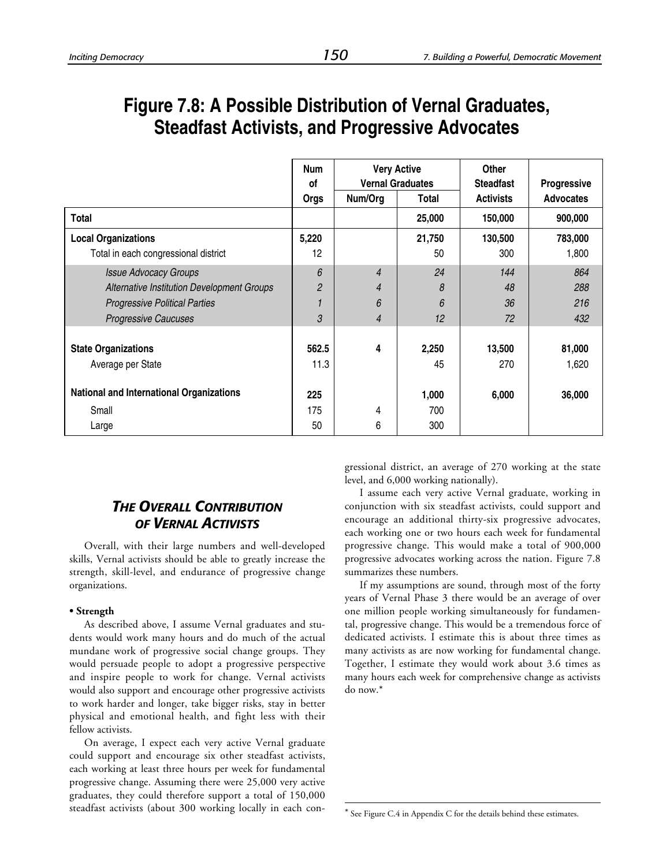# **Figure 7.8: A Possible Distribution of Vernal Graduates, Steadfast Activists, and Progressive Advocates**

|                                                                                                                                                   | <b>Num</b><br>0f<br>Orgs | <b>Very Active</b><br><b>Vernal Graduates</b><br>Num/Org<br>Total |                    | Other<br><b>Steadfast</b><br><b>Activists</b> | Progressive<br><b>Advocates</b> |
|---------------------------------------------------------------------------------------------------------------------------------------------------|--------------------------|-------------------------------------------------------------------|--------------------|-----------------------------------------------|---------------------------------|
| <b>Total</b>                                                                                                                                      |                          |                                                                   | 25,000             | 150,000                                       | 900,000                         |
| <b>Local Organizations</b><br>Total in each congressional district                                                                                | 5,220<br>12              |                                                                   | 21,750<br>50       | 130,500<br>300                                | 783,000<br>1,800                |
| <b>Issue Advocacy Groups</b><br>Alternative Institution Development Groups<br><b>Progressive Political Parties</b><br><b>Progressive Caucuses</b> | 6<br>$\overline{2}$<br>3 | $\overline{4}$<br>$\overline{4}$<br>6<br>$\overline{4}$           | 24<br>8<br>6<br>12 | 144<br>48<br>36<br>72                         | 864<br>288<br>216<br>432        |
| <b>State Organizations</b><br>Average per State                                                                                                   | 562.5<br>11.3            | 4                                                                 | 2,250<br>45        | 13,500<br>270                                 | 81,000<br>1,620                 |
| <b>National and International Organizations</b>                                                                                                   | 225<br>175               |                                                                   | 1,000              | 6,000                                         | 36,000                          |
| Small<br>Large                                                                                                                                    |                          | 4<br>6                                                            | 700<br>300         |                                               |                                 |

1

# *THE OVERALL CONTRIBUTION OF VERNAL ACTIVISTS*

Overall, with their large numbers and well-developed skills, Vernal activists should be able to greatly increase the strength, skill-level, and endurance of progressive change organizations.

#### **• Strength**

As described above, I assume Vernal graduates and students would work many hours and do much of the actual mundane work of progressive social change groups. They would persuade people to adopt a progressive perspective and inspire people to work for change. Vernal activists would also support and encourage other progressive activists to work harder and longer, take bigger risks, stay in better physical and emotional health, and fight less with their fellow activists.

On average, I expect each very active Vernal graduate could support and encourage six other steadfast activists, each working at least three hours per week for fundamental progressive change. Assuming there were 25,000 very active graduates, they could therefore support a total of 150,000 steadfast activists (about 300 working locally in each congressional district, an average of 270 working at the state level, and 6,000 working nationally).

I assume each very active Vernal graduate, working in conjunction with six steadfast activists, could support and encourage an additional thirty-six progressive advocates, each working one or two hours each week for fundamental progressive change. This would make a total of 900,000 progressive advocates working across the nation. Figure 7.8 summarizes these numbers.

If my assumptions are sound, through most of the forty years of Vernal Phase 3 there would be an average of over one million people working simultaneously for fundamental, progressive change. This would be a tremendous force of dedicated activists. I estimate this is about three times as many activists as are now working for fundamental change. Together, I estimate they would work about 3.6 times as many hours each week for comprehensive change as activists do now.\*

\* See Figure C.4 in Appendix C for the details behind these estimates.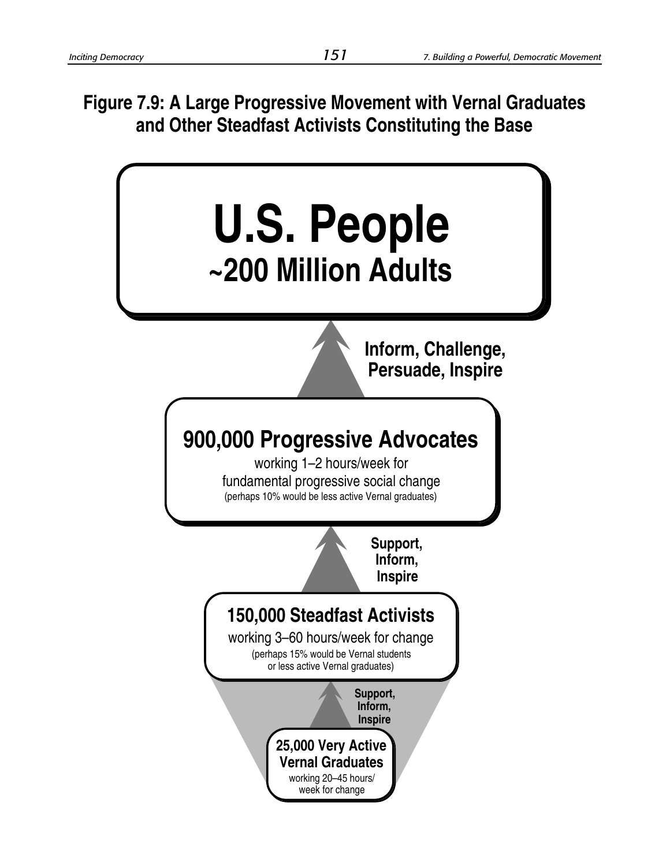**Figure 7.9: A Large Progressive Movement with Vernal Graduates and Other Steadfast Activists Constituting the Base**

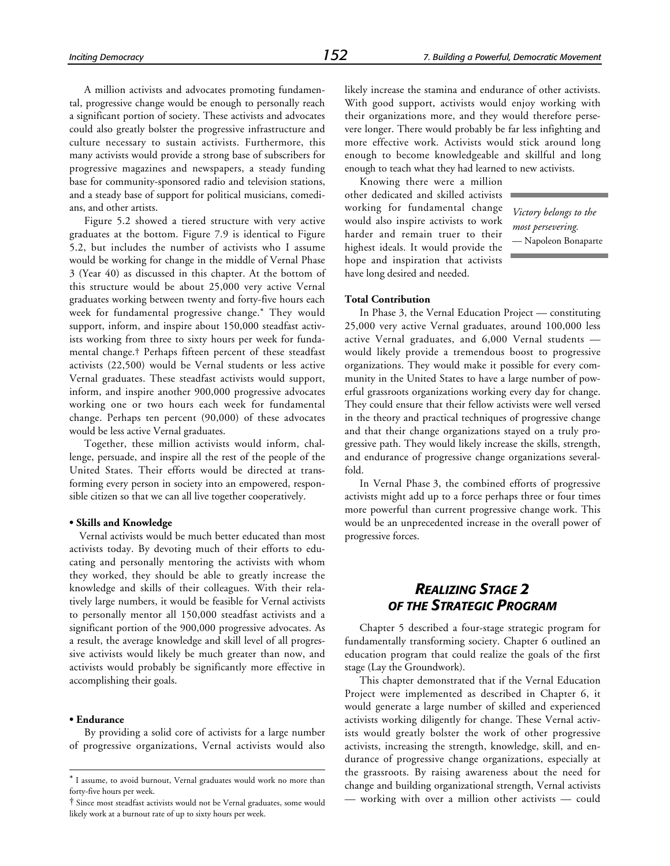A million activists and advocates promoting fundamental, progressive change would be enough to personally reach a significant portion of society. These activists and advocates could also greatly bolster the progressive infrastructure and culture necessary to sustain activists. Furthermore, this many activists would provide a strong base of subscribers for progressive magazines and newspapers, a steady funding base for community-sponsored radio and television stations, and a steady base of support for political musicians, comedians, and other artists.

Figure 5.2 showed a tiered structure with very active graduates at the bottom. Figure 7.9 is identical to Figure 5.2, but includes the number of activists who I assume would be working for change in the middle of Vernal Phase 3 (Year 40) as discussed in this chapter. At the bottom of this structure would be about 25,000 very active Vernal graduates working between twenty and forty-five hours each week for fundamental progressive change.\* They would support, inform, and inspire about 150,000 steadfast activists working from three to sixty hours per week for fundamental change.† Perhaps fifteen percent of these steadfast activists (22,500) would be Vernal students or less active Vernal graduates. These steadfast activists would support, inform, and inspire another 900,000 progressive advocates working one or two hours each week for fundamental change. Perhaps ten percent (90,000) of these advocates would be less active Vernal graduates.

Together, these million activists would inform, challenge, persuade, and inspire all the rest of the people of the United States. Their efforts would be directed at transforming every person in society into an empowered, responsible citizen so that we can all live together cooperatively.

#### **• Skills and Knowledge**

Vernal activists would be much better educated than most activists today. By devoting much of their efforts to educating and personally mentoring the activists with whom they worked, they should be able to greatly increase the knowledge and skills of their colleagues. With their relatively large numbers, it would be feasible for Vernal activists to personally mentor all 150,000 steadfast activists and a significant portion of the 900,000 progressive advocates. As a result, the average knowledge and skill level of all progressive activists would likely be much greater than now, and activists would probably be significantly more effective in accomplishing their goals.

#### **• Endurance**

-

By providing a solid core of activists for a large number of progressive organizations, Vernal activists would also likely increase the stamina and endurance of other activists. With good support, activists would enjoy working with their organizations more, and they would therefore persevere longer. There would probably be far less infighting and more effective work. Activists would stick around long enough to become knowledgeable and skillful and long enough to teach what they had learned to new activists.

Knowing there were a million other dedicated and skilled activists working for fundamental change would also inspire activists to work harder and remain truer to their highest ideals. It would provide the hope and inspiration that activists have long desired and needed.

*Victory belongs to the most persevering.* — Napoleon Bonaparte

#### **Total Contribution**

In Phase 3, the Vernal Education Project — constituting 25,000 very active Vernal graduates, around 100,000 less active Vernal graduates, and 6,000 Vernal students would likely provide a tremendous boost to progressive organizations. They would make it possible for every community in the United States to have a large number of powerful grassroots organizations working every day for change. They could ensure that their fellow activists were well versed in the theory and practical techniques of progressive change and that their change organizations stayed on a truly progressive path. They would likely increase the skills, strength, and endurance of progressive change organizations severalfold.

In Vernal Phase 3, the combined efforts of progressive activists might add up to a force perhaps three or four times more powerful than current progressive change work. This would be an unprecedented increase in the overall power of progressive forces.

# *REALIZING STAGE 2 OF THE STRATEGIC PROGRAM*

Chapter 5 described a four-stage strategic program for fundamentally transforming society. Chapter 6 outlined an education program that could realize the goals of the first stage (Lay the Groundwork).

This chapter demonstrated that if the Vernal Education Project were implemented as described in Chapter 6, it would generate a large number of skilled and experienced activists working diligently for change. These Vernal activists would greatly bolster the work of other progressive activists, increasing the strength, knowledge, skill, and endurance of progressive change organizations, especially at the grassroots. By raising awareness about the need for change and building organizational strength, Vernal activists — working with over a million other activists — could

<sup>\*</sup> I assume, to avoid burnout, Vernal graduates would work no more than forty-five hours per week.

<sup>†</sup> Since most steadfast activists would not be Vernal graduates, some would likely work at a burnout rate of up to sixty hours per week.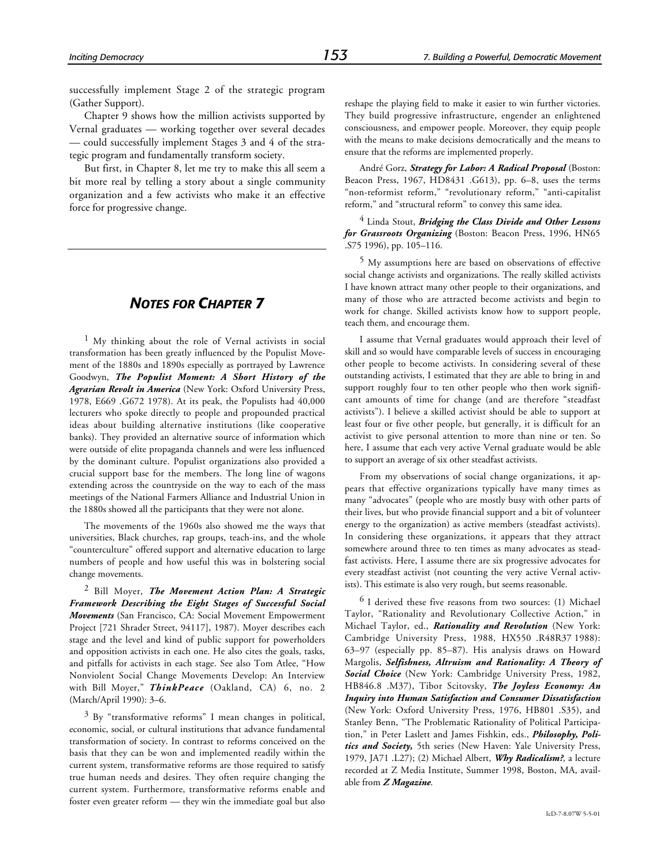successfully implement Stage 2 of the strategic program (Gather Support).

Chapter 9 shows how the million activists supported by Vernal graduates — working together over several decades — could successfully implement Stages 3 and 4 of the strategic program and fundamentally transform society.

But first, in Chapter 8, let me try to make this all seem a bit more real by telling a story about a single community organization and a few activists who make it an effective force for progressive change.

# *NOTES FOR CHAPTER 7*

1 My thinking about the role of Vernal activists in social transformation has been greatly influenced by the Populist Movement of the 1880s and 1890s especially as portrayed by Lawrence Goodwyn, *The Populist Moment: A Short History of the Agrarian Revolt in America* (New York: Oxford University Press, 1978, E669 .G672 1978). At its peak, the Populists had 40,000 lecturers who spoke directly to people and propounded practical ideas about building alternative institutions (like cooperative banks). They provided an alternative source of information which were outside of elite propaganda channels and were less influenced by the dominant culture. Populist organizations also provided a crucial support base for the members. The long line of wagons extending across the countryside on the way to each of the mass meetings of the National Farmers Alliance and Industrial Union in the 1880s showed all the participants that they were not alone.

The movements of the 1960s also showed me the ways that universities, Black churches, rap groups, teach-ins, and the whole "counterculture" offered support and alternative education to large numbers of people and how useful this was in bolstering social change movements.

2 Bill Moyer, *The Movement Action Plan: A Strategic Framework Describing the Eight Stages of Successful Social Movements* (San Francisco, CA: Social Movement Empowerment Project [721 Shrader Street, 94117], 1987). Moyer describes each stage and the level and kind of public support for powerholders and opposition activists in each one. He also cites the goals, tasks, and pitfalls for activists in each stage. See also Tom Atlee, "How Nonviolent Social Change Movements Develop: An Interview with Bill Moyer," *ThinkPeace* (Oakland, CA) 6, no. 2 (March/April 1990): 3–6.

3 By "transformative reforms" I mean changes in political, economic, social, or cultural institutions that advance fundamental transformation of society. In contrast to reforms conceived on the basis that they can be won and implemented readily within the current system, transformative reforms are those required to satisfy true human needs and desires. They often require changing the current system. Furthermore, transformative reforms enable and foster even greater reform — they win the immediate goal but also

reshape the playing field to make it easier to win further victories. They build progressive infrastructure, engender an enlightened consciousness, and empower people. Moreover, they equip people with the means to make decisions democratically and the means to ensure that the reforms are implemented properly.

André Gorz, *Strategy for Labor: A Radical Proposal* (Boston: Beacon Press, 1967, HD8431 .G613), pp. 6–8, uses the terms "non-reformist reform," "revolutionary reform," "anti-capitalist reform," and "structural reform" to convey this same idea.

4 Linda Stout, *Bridging the Class Divide and Other Lessons for Grassroots Organizing* (Boston: Beacon Press, 1996, HN65 .S75 1996), pp. 105–116.

5 My assumptions here are based on observations of effective social change activists and organizations. The really skilled activists I have known attract many other people to their organizations, and many of those who are attracted become activists and begin to work for change. Skilled activists know how to support people, teach them, and encourage them.

I assume that Vernal graduates would approach their level of skill and so would have comparable levels of success in encouraging other people to become activists. In considering several of these outstanding activists, I estimated that they are able to bring in and support roughly four to ten other people who then work significant amounts of time for change (and are therefore "steadfast activists"). I believe a skilled activist should be able to support at least four or five other people, but generally, it is difficult for an activist to give personal attention to more than nine or ten. So here, I assume that each very active Vernal graduate would be able to support an average of six other steadfast activists.

From my observations of social change organizations, it appears that effective organizations typically have many times as many "advocates" (people who are mostly busy with other parts of their lives, but who provide financial support and a bit of volunteer energy to the organization) as active members (steadfast activists). In considering these organizations, it appears that they attract somewhere around three to ten times as many advocates as steadfast activists. Here, I assume there are six progressive advocates for every steadfast activist (not counting the very active Vernal activists). This estimate is also very rough, but seems reasonable.

 $6$  I derived these five reasons from two sources: (1) Michael Taylor, "Rationality and Revolutionary Collective Action," in Michael Taylor, ed., *Rationality and Revolution* (New York: Cambridge University Press, 1988, HX550 .R48R37 1988): 63–97 (especially pp. 85–87). His analysis draws on Howard Margolis, *Selfishness, Altruism and Rationality: A Theory of Social Choice* (New York: Cambridge University Press, 1982, HB846.8 .M37), Tibor Scitovsky, *The Joyless Economy: An Inquiry into Human Satisfaction and Consumer Dissatisfaction* (New York: Oxford University Press, 1976, HB801 .S35), and Stanley Benn, "The Problematic Rationality of Political Participation," in Peter Laslett and James Fishkin, eds., *Philosophy, Politics and Society,* 5th series (New Haven: Yale University Press, 1979, JA71 .L27); (2) Michael Albert, *Why Radicalism?*, a lecture recorded at Z Media Institute, Summer 1998, Boston, MA, available from *Z Magazine*.